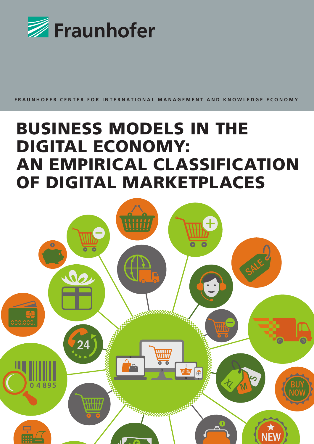

**FRAUNHOFER CENTER FOR INTERNATIONAL MANAGEMENT AND KNOWLEDGE ECONOMY**

# BUSINESS MODELS IN THE DIGITAL ECONOMY: AN EMPIRICAL CLASSIFICATION OF DIGITAL MARKETPLACES

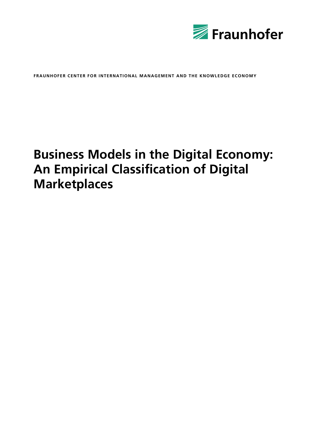

**FRAUNHOFER CENTER FOR INTERNATIONAL MANAGEMENT AND THE KNOWLEDGE ECONOMY**

## **Business Models in the Digital Economy: An Empirical Classification of Digital Marketplaces**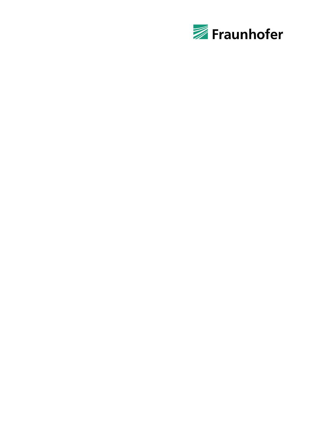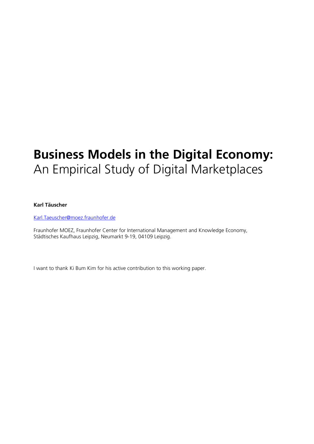## **Business Models in the Digital Economy:**  An Empirical Study of Digital Marketplaces

#### **Karl Täuscher**

[Karl.Taeuscher@moez.fraunhofer.de](mailto:Karl.Taeuscher@moez.fraunhofer.de)

Fraunhofer MOEZ, Fraunhofer Center for International Management and Knowledge Economy, Städtisches Kaufhaus Leipzig, Neumarkt 9-19, 04109 Leipzig.

I want to thank Ki Bum Kim for his active contribution to this working paper.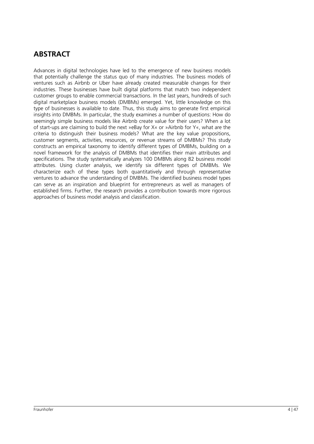### **ABSTRACT**

Advances in digital technologies have led to the emergence of new business models that potentially challenge the status quo of many industries. The business models of ventures such as Airbnb or Uber have already created measurable changes for their industries. These businesses have built digital platforms that match two independent customer groups to enable commercial transactions. In the last years, hundreds of such digital marketplace business models (DMBMs) emerged. Yet, little knowledge on this type of businesses is available to date. Thus, this study aims to generate first empirical insights into DMBMs. In particular, the study examines a number of questions: How do seemingly simple business models like Airbnb create value for their users? When a lot of start-ups are claiming to build the next »eBay for X« or »Airbnb for Y«, what are the criteria to distinguish their business models? What are the key value propositions, customer segments, activities, resources, or revenue streams of DMBMs? This study constructs an empirical taxonomy to identify different types of DMBMs, building on a novel framework for the analysis of DMBMs that identifies their main attributes and specifications. The study systematically analyzes 100 DMBMs along 82 business model attributes. Using cluster analysis, we identify six different types of DMBMs. We characterize each of these types both quantitatively and through representative ventures to advance the understanding of DMBMs. The identified business model types can serve as an inspiration and blueprint for entrepreneurs as well as managers of established firms. Further, the research provides a contribution towards more rigorous approaches of business model analysis and classification.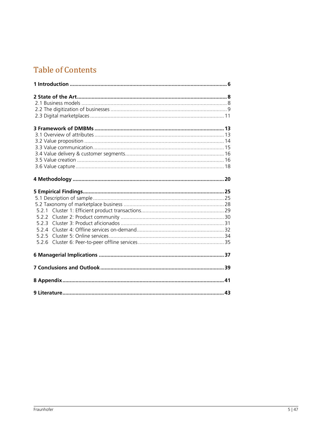## **Table of Contents**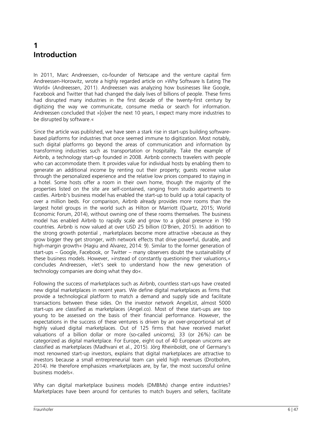### **1 Introduction**

In 2011, Marc Andreessen, co-founder of Netscape and the venture capital firm Andreessen-Horowitz, wrote a highly regarded article on »Why Software Is Eating The World« (Andreessen, 2011). Andreessen was analyzing how businesses like Google, Facebook and Twitter that had changed the daily lives of billions of people. These firms had disrupted many industries in the first decade of the twenty-first century by digitizing the way we communicate, consume media or search for information. Andreessen concluded that »[o]ver the next 10 years, I expect many more industries to be disrupted by software.«

Since the article was published, we have seen a stark rise in start-ups building softwarebased platforms for industries that once seemed immune to digitization. Most notably, such digital platforms go beyond the areas of communication and information by transforming industries such as transportation or hospitality. Take the example of Airbnb, a technology start-up founded in 2008. Airbnb connects travelers with people who can accommodate them. It provides value for individual hosts by enabling them to generate an additional income by renting out their property; guests receive value through the personalized experience and the relative low prices compared to staying in a hotel. Some hosts offer a room in their own home, though the majority of the properties listed on the site are self-contained, ranging from studio apartments to castles. Airbnb's business model has enabled the start-up to build up a total capacity of over a million beds. For comparison, Airbnb already provides more rooms than the largest hotel groups in the world such as Hilton or Marriott (Quartz, 2015; World Economic Forum, 2014), without owning one of these rooms themselves. The business model has enabled Airbnb to rapidly scale and grow to a global presence in 190 countries. Airbnb is now valued at over USD 25 billion (O'Brien, 2015). In addition to the strong growth potential , marketplaces become more attractive »because as they grow bigger they get stronger, with network effects that drive powerful, durable, and high-margin growth« (Hagiu and Alvarez, 2014: 9). Similar to the former generation of start-ups – Google, Facebook, or Twitter – many observers doubt the sustainability of these business models. However, »instead of constantly questioning their valuations,« concludes Andreessen, »let's seek to understand how the new generation of technology companies are doing what they do«.

Following the success of marketplaces such as Airbnb, countless start-ups have created new digital marketplaces in recent years. We define digital marketplaces as firms that provide a technological platform to match a demand and supply side and facilitate transactions between these sides. On the investor network AngelList, almost 5000 start-ups are classified as marketplaces (Angel.co). Most of these start-ups are too young to be assessed on the basis of their financial performance. However, the expectations in the success of these ventures is driven by an over-proportional set of highly valued digital marketplaces. Out of 125 firms that have received market valuations of a billion dollar or more (so-called *unicorns),* 33 (or 26%) can be categorized as digital marketplace. For Europe, eight out of 40 European unicorns are classified as marketplaces (Madhvani et al., 2015). Jörg Rheinboldt, one of Germany's most renowned start-up investors, explains that digital marketplaces are attractive to investors because a small entrepreneurial team can yield high revenues (Drotbohm, 2014). He therefore emphasizes »marketplaces are, by far, the most successful online business models«.

Why can digital marketplace business models (DMBMs) change entire industries? Marketplaces have been around for centuries to match buyers and sellers, facilitate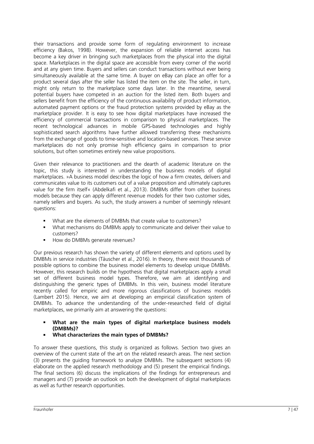their transactions and provide some form of regulating environment to increase efficiency (Bakos, 1998). However, the expansion of reliable internet access has become a key driver in bringing such marketplaces from the physical into the digital space. Marketplaces in the digital space are accessible from every corner of the world and at any given time. Buyers and sellers can conduct transactions without ever being simultaneously available at the same time. A buyer on eBay can place an offer for a product several days after the seller has listed the item on the site. The seller, in turn, might only return to the marketplace some days later. In the meantime, several potential buyers have competed in an auction for the listed item. Both buyers and sellers benefit from the efficiency of the continuous availability of product information, automated payment options or the fraud protection systems provided by eBay as the marketplace provider. It is easy to see how digital marketplaces have increased the efficiency of commercial transactions in comparison to physical marketplaces. The recent technological advances in mobile GPS-based technologies and highly sophisticated search algorithms have further allowed transferring these mechanisms from the exchange of goods to time-sensitive and location-based services. These service marketplaces do not only promise high efficiency gains in comparison to prior solutions, but often sometimes entirely new value propositions.

Given their relevance to practitioners and the dearth of academic literature on the topic, this study is interested in understanding the business models of digital marketplaces. »A business model describes the logic of how a firm creates, delivers and communicates value to its customers out of a value proposition and ultimately captures value for the firm itself« (Abdelkafi et al., 2013). DMBMs differ from other business models because they can apply different revenue models for their two customer sides, namely sellers and buyers. As such, the study answers a number of seemingly relevant questions:

- What are the elements of DMBMs that create value to customers?
- What mechanisms do DMBMs apply to communicate and deliver their value to customers?
- How do DMBMs generate revenues?

Our previous research has shown the variety of different elements and options used by DMBMs in service industries (Täuscher et al., 2016). In theory, there exist thousands of possible options to combine the business model elements to develop unique DMBMs. However, this research builds on the hypothesis that digital marketplaces apply a small set of different business model types. Therefore, we aim at identifying and distinguishing the generic types of DMBMs. In this vein, business model literature recently called for empiric and more rigorous classifications of business models (Lambert 2015). Hence, we aim at developing an empirical classification system of DMBMs. To advance the understanding of the under-researched field of digital marketplaces, we primarily aim at answering the questions:

#### **What are the main types of digital marketplace business models (DMBMs)?**

**What characterizes the main types of DMBMs?**

To answer these questions, this study is organized as follows. Section two gives an overview of the current state of the art on the related research areas. The next section (3) presents the guiding framework to analyze DMBMs. The subsequent sections (4) elaborate on the applied research methodology and (5) present the empirical findings. The final sections (6) discuss the implications of the findings for entrepreneurs and managers and (7) provide an outlook on both the development of digital marketplaces as well as further research opportunities.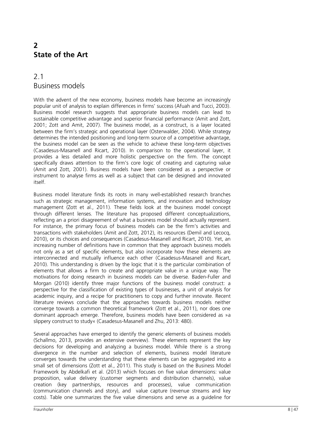### **2 State of the Art**

### 2.1 Business models

With the advent of the new economy, business models have become an increasingly popular unit of analysis to explain differences in firms' success (Afuah and Tucci, 2003). Business model research suggests that appropriate business models can lead to sustainable competitive advantage and superior financial performance (Amit and Zott, 2001; Zott and Amit, 2007). The business model, as a construct, is a layer located between the firm's strategic and operational layer (Osterwalder, 2004). While strategy determines the intended positioning and long-term source of a competitive advantage, the business model can be seen as the vehicle to achieve these long-term objectives (Casadesus-Masanell and Ricart, 2010). In comparison to the operational layer, it provides a less detailed and more holistic perspective on the firm. The concept specifically draws attention to the firm's core logic of creating and capturing value (Amit and Zott, 2001). Business models have been considered as a perspective or instrument to analyse firms as well as a subject that can be designed and innovated itself.

Business model literature finds its roots in many well-established research branches such as strategic management, information systems, and innovation and technology management (Zott et al., 2011). These fields look at the business model concept through different lenses. The literature has proposed different conceptualizations, reflecting an a priori disagreement of what a business model should actually represent. For instance, the primary focus of business models can be the firm's activities and transactions with stakeholders (Amit and Zott, 2012), its resources (Demil and Lecocq, 2010), or its choices and consequences (Casadesus-Masanell and Ricart, 2010). Yet, an increasing number of definitions have in common that they approach business models not only as a set of specific elements, but also incorporate how these elements are interconnected and mutually influence each other (Casadesus-Masanell and Ricart, 2010). This understanding is driven by the logic that it is the particular combination of elements that allows a firm to create and appropriate value in a unique way. The motivations for doing research in business models can be diverse. Baden-Fuller and Morgan (2010) identify three major functions of the business model construct: a perspective for the classification of existing types of businesses, a unit of analysis for academic inquiry, and a recipe for practitioners to copy and further innovate. Recent literature reviews conclude that the approaches towards business models neither converge towards a common theoretical framework (Zott et al., 2011), nor does one dominant approach emerge. Therefore, business models have been considered as »a slippery construct to study« (Casadesus-Masanell and Zhu, 2013: 480).

Several approaches have emerged to identify the generic elements of business models (Schallmo, 2013, provides an extensive overview). These elements represent the key decisions for developing and analyzing a business model. While there is a strong divergence in the number and selection of elements, business model literature converges towards the understanding that these elements can be aggregated into a small set of dimensions (Zott et al., 2011). This study is based on the Business Model Framework by Abdelkafi et al. (2013) which focuses on five value dimensions: value proposition, value delivery (customer segments and distribution channels), value creation (key partnerships, resources and processes), value communication (communication channels and story), and value capture (revenue streams and key costs). Table one summarizes the five value dimensions and serve as a guideline for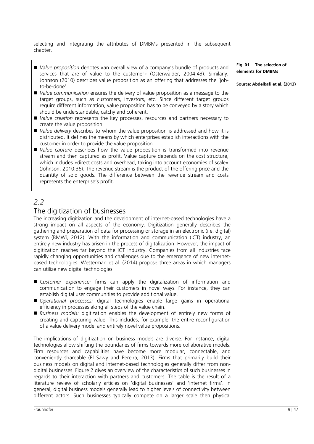selecting and integrating the attributes of DMBMs presented in the subsequent chapter.

- *Value proposition* denotes »an overall view of a company's bundle of products and services that are of value to the customer« (Osterwalder, 2004:43). Similarly, Johnson (2010) describes value proposition as an offering that addresses the 'jobto-be-done'.
- *Value communication* ensures the delivery of value proposition as a message to the target groups, such as customers, investors, etc. Since different target groups require different information, value proposition has to be conveyed by a story which should be understandable, catchy and coherent.
- *Value creation* represents the key processes, resources and partners necessary to create the value proposition.
- *Value delivery* describes to whom the value proposition is addressed and how it is distributed. It defines the means by which enterprises establish interactions with the customer in order to provide the value proposition.
- *Value capture* describes how the value proposition is transformed into revenue stream and then captured as profit. Value capture depends on the cost structure, which includes »direct costs and overhead, taking into account economies of scale« (Johnson, 2010:36). The revenue stream is the product of the offering price and the quantity of sold goods. The difference between the revenue stream and costs represents the enterprise's profit.

### *2.2*

### The digitization of businesses

The increasing digitization and the development of internet-based technologies have a strong impact on all aspects of the economy. Digitization generally describes the gathering and preparation of data for processing or storage in an electronic (i.e. digital) system (BMWi, 2012). With the information and communication (ICT) industry, an entirely new industry has arisen in the process of digitalization. However, the impact of digitization reaches far beyond the ICT industry. Companies from all industries face rapidly changing opportunities and challenges due to the emergence of new internetbased technologies. Westerman et al. (2014) propose three areas in which managers can utilize new digital technologies:

- *Customer experience:* firms can apply the digitalization of information and communication to engage their customers in novel ways. For instance, they can establish digital user communities to provide additional value.
- *Operational processes:* digital technologies enable large gains in operational efficiency in processes along all steps of the value chain.
- *Business models:* digitization enables the development of entirely new forms of creating and capturing value. This includes, for example, the entire reconfiguration of a value delivery model and entirely novel value propositions.

The implications of digitization on business models are diverse. For instance, digital technologies allow shifting the boundaries of firms towards more collaborative models. Firm resources and capabilities have become more modular, connectable, and conveniently shareable (El Sawy and Pereira, 2013). Firms that primarily build their business models on digital and internet-based technologies generally differ from nondigital businesses. Figure 2 gives an overview of the characteristics of such businesses in regards to their interaction with partners and customers. The table is the result of a literature review of scholarly articles on 'digital businesses' and 'internet firms'. In general, digital business models generally lead to higher levels of connectivity between different actors. Such businesses typically compete on a larger scale then physical

Fraunhofer 9 | 47

**Fig. 01 The selection of elements for DMBMs** 

**Source: Abdelkafi et al. (2013)**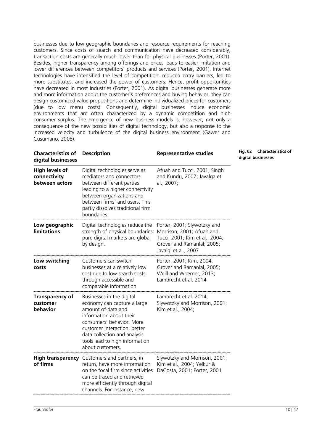businesses due to low geographic boundaries and resource requirements for reaching customers. Since costs of search and communication have decreased considerably, transaction costs are generally much lower than for physical businesses (Porter, 2001). Besides, higher transparency among offerings and prices leads to easier imitation and lower differences between competitors' products and services (Porter, 2001). Internet technologies have intensified the level of competition, reduced entry barriers, led to more substitutes, and increased the power of customers. Hence, profit opportunities have decreased in most industries (Porter, 2001). As digital businesses generate more and more information about the customer's preferences and buying behavior, they can design customized value propositions and determine individualized prices for customers (due to low menu costs). Consequently, digital businesses induce economic environments that are often characterized by a dynamic competition and high consumer surplus. The emergence of new business models is, however, not only a consequence of the new possibilities of digital technology, but also a response to the increased velocity and turbulence of the digital business environment (Gawer and Cusumano, 2008).

| <b>Characteristics of</b><br>digital businesses         | <b>Description</b>                                                                                                                                                                                                                                           | <b>Representative studies</b>                                                                                                                    |
|---------------------------------------------------------|--------------------------------------------------------------------------------------------------------------------------------------------------------------------------------------------------------------------------------------------------------------|--------------------------------------------------------------------------------------------------------------------------------------------------|
| <b>High levels of</b><br>connectivity<br>between actors | Digital technologies serve as<br>mediators and connectors<br>between different parties<br>leading to a higher connectivity<br>between organizations and<br>between firms' and users. This<br>partly dissolves traditional firm<br>boundaries.                | Afuah and Tucci, 2001; Singh<br>and Kundu, 2002; Javalga et<br>al., 2007;                                                                        |
| Low geographic<br><b>limitations</b>                    | Digital technologies reduce the<br>strength of physical boundaries;<br>pure digital markets are global<br>by design.                                                                                                                                         | Porter, 2001; Slywotzky and<br>Morrison, 2001; Afuah and<br>Tucci, 2001; Kim et al., 2004;<br>Grover and Ramanlal; 2005;<br>Javalgi et al., 2007 |
| Low switching<br>costs                                  | Customers can switch<br>businesses at a relatively low<br>cost due to low search costs<br>through accessible and<br>comparable information.                                                                                                                  | Porter, 2001; Kim, 2004;<br>Grover and Ramanlal, 2005;<br>Weill and Woerner, 2013;<br>Lambrecht et al. 2014                                      |
| <b>Transparency of</b><br>customer<br>behavior          | Businesses in the digital<br>economy can capture a large<br>amount of data and<br>information about their<br>consumers' behavior. More<br>customer interaction, better<br>data collection and analysis<br>tools lead to high information<br>about customers. | Lambrecht et al. 2014;<br>Slywotzky and Morrison, 2001;<br>Kim et al., 2004;                                                                     |
| of firms                                                | High transparency Customers and partners, in<br>return, have more information<br>on the focal firm since activities<br>can be traced and retrieved<br>more efficiently through digital<br>channels. For instance, new                                        | Slywotzky and Morrison, 2001;<br>Kim et al., 2004; Yelkur &<br>DaCosta, 2001; Porter, 2001                                                       |

**Fig. 02 Characteristics of digital businesses**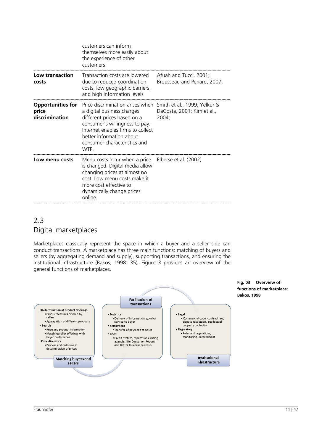| <b>Low transaction</b><br>costs                     | customers can inform<br>themselves more easily about<br>the experience of other<br>customers<br>Transaction costs are lowered<br>due to reduced coordination                                                                                                          | Afuah and Tucci, 2001;<br>Brousseau and Penard, 2007; |
|-----------------------------------------------------|-----------------------------------------------------------------------------------------------------------------------------------------------------------------------------------------------------------------------------------------------------------------------|-------------------------------------------------------|
|                                                     | costs, low geographic barriers,<br>and high information levels                                                                                                                                                                                                        |                                                       |
| <b>Opportunities for</b><br>price<br>discrimination | Price discrimination arises when Smith et al., 1999; Yelkur &<br>a digital business charges<br>different prices based on a<br>consumer's willingness to pay.<br>Internet enables firms to collect<br>better information about<br>consumer characteristics and<br>WTP. | DaCosta, 2001; Kim et al.,<br>2004:                   |
| Low menu costs                                      | Menu costs incur when a price Elberse et al. (2002)<br>is changed. Digital media allow<br>changing prices at almost no<br>cost. Low menu costs make it<br>more cost effective to<br>dynamically change prices<br>online.                                              |                                                       |

### 2.3 Digital marketplaces

Marketplaces classically represent the space in which a buyer and a seller side can conduct transactions. A marketplace has three main functions: matching of buyers and sellers (by aggregating demand and supply), supporting transactions, and ensuring the institutional infrastructure (Bakos, 1998: 35). Figure 3 provides an overview of the general functions of marketplaces.



**Fig. 03 Overview of functions of marketplace; Bakos, 1998**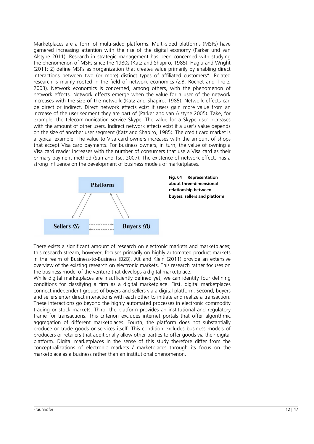Marketplaces are a form of multi-sided platforms. Multi-sided platforms (MSPs) have garnered increasing attention with the rise of the digital economy (Parker und van Alstyne 2011). Research in strategic management has been concerned with studying the phenomenon of MSPs since the 1980s (Katz and Shapiro, 1985). Hagiu and Wright (2011: 2) define MSPs as »organization that creates value primarily by enabling direct interactions between two (or more) distinct types of affiliated customers". Related research is mainly rooted in the field of network economics (z.B. Rochet and Tirole, 2003). Network economics is concerned, among others, with the phenomenon of network effects. Network effects emerge when the value for a user of the network increases with the size of the network (Katz and Shapiro, 1985). Network effects can be direct or indirect. Direct network effects exist if users gain more value from an increase of the user segment they are part of (Parker and van Alstyne 2005). Take, for example, the telecommunication service Skype. The value for a Skype user increases with the amount of other users. Indirect network effects exist if a user's value depends on the size of another user segment (Katz and Shapiro, 1985). The credit card market is a typical example. The value to Visa card owners increases with the amount of shops that accept Visa card payments. For business owners, in turn, the value of owning a Visa card reader increases with the number of consumers that use a Visa card as their primary payment method (Sun and Tse, 2007). The existence of network effects has a strong influence on the development of business models of marketplaces.



There exists a significant amount of research on electronic markets and marketplaces; this research stream, however, focuses primarily on highly automated product markets in the realm of Business-to-Business (B2B). Alt and Klein (2011) provide an extensive overview of the existing research on electronic markets. This research rather focuses on the business model of the venture that develops a digital marketplace.

While digital marketplaces are insufficiently defined yet, we can identify four defining conditions for classifying a firm as a digital marketplace. First, digital marketplaces connect independent groups of buyers and sellers via a digital platform. Second, buyers and sellers enter direct interactions with each other to initiate and realize a transaction. These interactions go beyond the highly automated processes in electronic commodity trading or stock markets. Third, the platform provides an institutional and regulatory frame for transactions. This criterion excludes internet portals that offer algorithmic aggregation of different marketplaces. Fourth, the platform does not substantially produce or trade goods or services itself. This condition excludes business models of producers or retailers that additionally allow other parties to offer goods via their digital platform. Digital marketplaces in the sense of this study therefore differ from the conceptualizations of electronic markets / marketplaces through its focus on the marketplace as a business rather than an institutional phenomenon.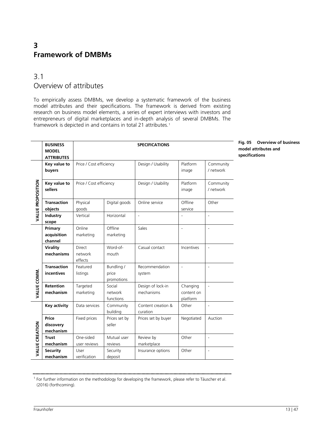### **3 Framework of DMBMs**

### 3.1 Overview of attributes

To empirically assess DMBMs, we develop a systematic framework of the business model attributes and their specifications. The framework is derived from existing research on business model elements, a series of expert interviews with investors and entrepreneurs of digital marketplaces and in-depth analysis of several DMBMs. The framework is depicted in and contains in total 2[1](#page-13-0) attributes.<sup>1</sup>

|                   | <b>BUSINESS</b><br><b>MODEL</b><br><b>ATTRIBUTES</b> |                              | Fig. 05<br><b>Overvie</b><br>model attributes<br>specifications |                                 |                                    |                          |  |
|-------------------|------------------------------------------------------|------------------------------|-----------------------------------------------------------------|---------------------------------|------------------------------------|--------------------------|--|
|                   | Key value to<br>buyers                               | Price / Cost efficiency      |                                                                 | Design / Usability              | Platform<br>image                  | Community<br>/ network   |  |
| VALUE PROPOSITION | Key value to<br>sellers                              | Price / Cost efficiency      |                                                                 | Design / Usability              | Platform<br>image                  | Community<br>/ network   |  |
|                   | <b>Transaction</b><br>objects                        | Physical<br>goods            | Digital goods                                                   | Online service                  | Offline<br>service                 | Other                    |  |
|                   | Industry<br>scope                                    | Vertical                     | Horizontal                                                      | $\overline{a}$                  |                                    |                          |  |
|                   | Primary<br>acquisition<br>channel                    | Online<br>marketing          | Offline<br>marketing                                            | Sales                           | $\overline{\phantom{a}}$           | $\overline{\phantom{a}}$ |  |
|                   | <b>Virality</b><br>mechanisms                        | Direct<br>network<br>effects | Word-of-<br>mouth                                               | Casual contact                  | Incentives                         | $\overline{\phantom{a}}$ |  |
|                   | <b>Transaction</b><br>incentives                     | Featured<br>listings         | Bundling /<br>price<br>promotions                               | Recommendation<br>system        | $\frac{1}{2}$                      | $\overline{\phantom{a}}$ |  |
| VALUE COMM.       | <b>Retention</b><br>mechanism                        | Targeted<br>marketing        | Social<br>network<br>functions                                  | Design of lock-in<br>mechanisms | Changing<br>content on<br>platform | $\overline{\phantom{a}}$ |  |
|                   | <b>Key activity</b>                                  | Data services                | Community<br>building                                           | Content creation &<br>curation  | Other                              |                          |  |
|                   | Price<br>discovery<br>mechanism                      | Fixed prices                 | Prices set by<br>seller                                         | Prices set by buyer             | Negotiated                         | Auction                  |  |
| VALUE CREATION    | <b>Trust</b><br>mechanism                            | One-sided<br>user reviews    | Mutual user<br>reviews                                          | Review by<br>marketplace        | Other                              | $\overline{\phantom{a}}$ |  |
|                   | <b>Security</b><br>mechanism                         | User<br>verification         | Security<br>deposit                                             | Insurance options               | Other                              | $\overline{\phantom{a}}$ |  |

<span id="page-13-0"></span><sup>1</sup> For further information on the methodology for developing the framework, please refer to Täuscher et al. (2016) (forthcoming).

**Fig. 05 Overview of business**  and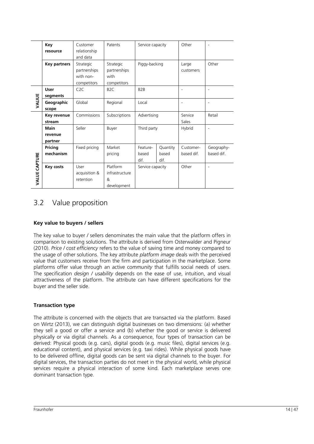|                      | Key<br>resource     | Customer<br>relationship                              | Patents                                          | Service capacity |               | Other              |                          |
|----------------------|---------------------|-------------------------------------------------------|--------------------------------------------------|------------------|---------------|--------------------|--------------------------|
|                      |                     | and data                                              |                                                  |                  |               |                    |                          |
|                      | <b>Key partners</b> | Strategic<br>partnerships<br>with non-<br>competitors | Strategic<br>partnerships<br>with<br>competitors | Piggy-backing    |               | Large<br>customers | Other                    |
|                      | <b>User</b>         | C <sub>2</sub> C                                      | B <sub>2</sub> C                                 | B <sub>2</sub> B |               |                    |                          |
|                      | segments            |                                                       |                                                  |                  |               |                    |                          |
| VALIUE               | Geographic          | Global                                                | Regional                                         | Local            |               |                    |                          |
|                      | scope               |                                                       |                                                  |                  |               |                    |                          |
|                      | Key revenue         | Commissions                                           | Subscriptions                                    | Advertising      |               | Service            | Retail                   |
|                      | stream              |                                                       |                                                  |                  |               | Sales              |                          |
|                      | Main                | Seller                                                | Buyer                                            |                  | Third party   |                    | $\overline{\phantom{a}}$ |
|                      | revenue             |                                                       |                                                  |                  |               |                    |                          |
|                      | partner             |                                                       |                                                  |                  |               |                    |                          |
|                      | Pricing             | Fixed pricing                                         | Market                                           | Feature-         | Quantity      | Customer-          | Geography-               |
| <b>VALUE CAPTURE</b> | mechanism           |                                                       | pricing                                          | based<br>dif.    | based<br>dif. |                    | based dif.               |
|                      | <b>Key costs</b>    | User                                                  | Platform                                         | Service capacity |               | Other              |                          |
|                      |                     | acquisition &                                         | infrastructure                                   |                  |               |                    |                          |
|                      |                     | retention                                             | &                                                |                  |               |                    |                          |
|                      |                     |                                                       | development                                      |                  |               |                    |                          |

### 3.2 Value proposition

#### **Key value to buyers / sellers**

The key value to buyer / sellers denominates the main value that the platform offers in comparison to existing solutions. The attribute is derived from Osterwalder and Pigneur (2010). *Price / cost efficiency* refers to the value of saving time and money compared to the usage of other solutions. The key attribute *platform image* deals with the perceived value that customers receive from the firm and participation in the marketplace. Some platforms offer value through an active c*ommunity* that fulfills social needs of users. The specification *design / usability* depends on the ease of use, intuition, and visual attractiveness of the platform. The attribute can have different specifications for the buyer and the seller side.

#### **Transaction type**

The attribute is concerned with the objects that are transacted via the platform. Based on Wirtz (2013), we can distinguish digital businesses on two dimensions: (a) whether they sell a good or offer a service and (b) whether the good or service is delivered physically or via digital channels. As a consequence, four types of transaction can be derived: Physical goods (e.g. cars), digital goods (e.g. music files), digital services (e.g. educational content), and physical services (e.g. taxi rides). While physical goods have to be delivered offline, digital goods can be sent via digital channels to the buyer. For digital services, the transaction parties do not meet in the physical world, while physical services require a physical interaction of some kind. Each marketplace serves one dominant transaction type.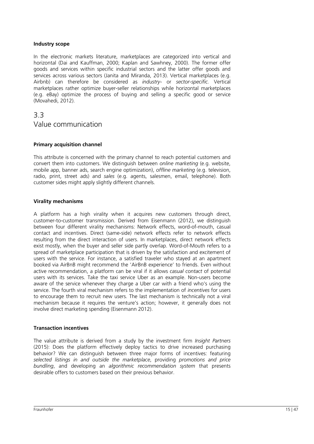#### **Industry scope**

In the electronic markets literature, marketplaces are categorized into vertical and horizontal (Dai and Kauffman, 2000; Kaplan and Sawhney, 2000). The former offer goods and services within specific industrial sectors and the latter offer goods and services across various sectors (Janita and Miranda, 2013). Vertical marketplaces (e.g. Airbnb) can therefore be considered as *industry-* or *sector-specific.* Vertical marketplaces rather optimize buyer-seller relationships while horizontal marketplaces (e.g. eBay) optimize the process of buying and selling a specific good or service (Movahedi, 2012).

#### 3.3 Value communication

#### **Primary acquisition channel**

This attribute is concerned with the primary channel to reach potential customers and convert them into customers. We distinguish between *online marketing* (e.g. website, mobile app, banner ads, search engine optimization), *offline marketing* (e.g. television, radio, print, street ads) and *sales* (e.g. agents, salesmen, email, telephone). Both customer sides might apply slightly different channels.

#### **Virality mechanisms**

A platform has a high virality when it acquires new customers through direct, customer-to-customer transmission. Derived from Eisenmann (2012), we distinguish between four different virality mechanisms: Network effects, word-of-mouth, casual contact and incentives. Direct (same-side) network effects refer to network effects resulting from the direct interaction of users. In marketplaces, direct network effects exist mostly, when the buyer and seller side partly overlap. Word-of-Mouth refers to a spread of marketplace participation that is driven by the satisfaction and excitement of users with the service. For instance, a satisfied traveler who stayed at an apartment booked via AirBnB might recommend the 'AirBnB experience' to friends. Even without active recommendation, a platform can be viral if it allows *casual contact* of potential users with its services. Take the taxi service Uber as an example. Non-users become aware of the service whenever they charge a Uber car with a friend who's using the service. The fourth viral mechanism refers to the implementation of *incentives* for users to encourage them to recruit new users. The last mechanism is technically not a viral mechanism because it requires the venture's action; however, it generally does not involve direct marketing spending (Eisenmann 2012).

#### **Transaction incentives**

The value attribute is derived from a study by the investment firm *Insight Partners* (2015): Does the platform effectively deploy tactics to drive increased purchasing behavior? We can distinguish between three major forms of incentives: featuring *selected listings in and outside the marketplace*, providing *promotions and price bundling*, and developing an *algorithmic recommendation system* that presents desirable offers to customers based on their previous behavior.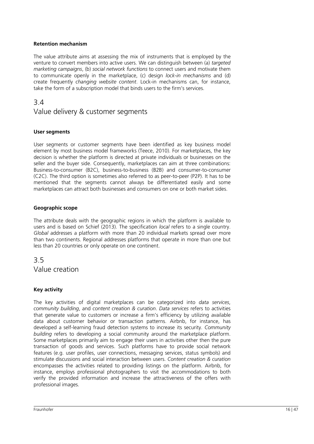#### **Retention mechanism**

The value attribute aims at assessing the mix of instruments that is employed by the venture to convert members into active users. We can distinguish between (a) *targeted marketing campaigns*, (b) *social network functions* to connect users and motivate them to communicate openly in the marketplace, (c) design *lock-in mechanisms* and (d) create frequently *changing website content*. Lock-in mechanisms can, for instance, take the form of a subscription model that binds users to the firm's services.

#### 3.4

### Value delivery & customer segments

#### **User segments**

User segments or customer segments have been identified as key business model element by most business model frameworks (Teece, 2010). For marketplaces, the key decision is whether the platform is directed at private individuals or businesses on the seller and the buyer side. Consequently, marketplaces can aim at three combinations: Business-to-consumer (B2C), business-to-business (B2B) and consumer-to-consumer (C2C). The third option is sometimes also referred to as peer-to-peer (P2P). It has to be mentioned that the segments cannot always be differentiated easily and some marketplaces can attract both businesses and consumers on one or both market sides.

#### **Geographic scope**

The attribute deals with the geographic regions in which the platform is available to users and is based on Schief (2013). The specification *local* refers to a single country. *Global* addresses a platform with more than 20 individual markets spread over more than two continents. Regional addresses platforms that operate in more than one but less than 20 countries or only operate on one continent.

#### 3.5

Value creation

#### **Key activity**

The key activities of digital marketplaces can be categorized into *data services*, *community building*, and *content creation & curation*. *Data services* refers to activities that generate value to customers or increase a firm's efficiency by utilizing available data about customer behavior or transaction patterns. Airbnb, for instance, has developed a self-learning fraud detection systems to increase its security. *Community building* refers to developing a social community around the marketplace platform. Some marketplaces primarily aim to engage their users in activities other then the pure transaction of goods and services. Such platforms have to provide social network features (e.g. user profiles, user connections, messaging services, status symbols) and stimulate discussions and social interaction between users. *Content creation & curation* encompasses the activities related to providing listings on the platform. Airbnb, for instance, employs professional photographers to visit the accommodations to both verify the provided information and increase the attractiveness of the offers with professional images.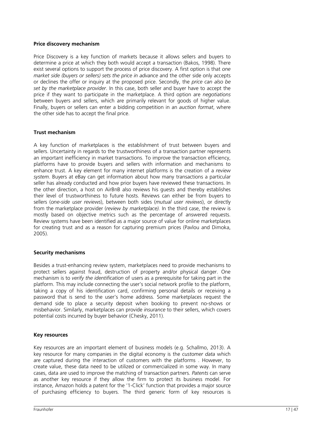#### **Price discovery mechanism**

Price Discovery is a key function of markets because it allows sellers and buyers to determine a price at which they both would accept a transaction (Bakos, 1998). There exist several options to support the process of price discovery. A first option is that *one market side (buyers or sellers) sets the price in advance* and the other side only accepts or declines the offer or inquiry at the proposed price. Secondly, the *price can also be set by the marketplace provider*. In this case, both seller and buyer have to accept the price if they want to participate in the marketplace. A third option are *negotiations* between buyers and sellers, which are primarily relevant for goods of higher value. Finally, buyers or sellers can enter a bidding competition in an *auction format*, where the other side has to accept the final price.

#### **Trust mechanism**

A key function of marketplaces is the establishment of trust between buyers and sellers. Uncertainty in regards to the trustworthiness of a transaction partner represents an important inefficiency in market transactions. To improve the transaction efficiency, platforms have to provide buyers and sellers with information and mechanisms to enhance trust. A key element for many internet platforms is the creation of a *review system*. Buyers at eBay can get information about how many transactions a particular seller has already conducted and how prior buyers have reviewed these transactions. In the other direction, a host on AirBnB also reviews his guests and thereby establishes their level of trustworthiness to future hosts. Reviews can either be from buyers to sellers (*one-side user reviews*), between both sides (*mutual user reviews*), or directly from the marketplace provider (*review by marketplace).* In the third case, the review is mostly based on objective metrics such as the percentage of answered requests. Review systems have been identified as a major source of value for online marketplaces for creating trust and as a reason for capturing premium prices (Pavlou and Dimoka, 2005).

#### **Security mechanisms**

Besides a trust-enhancing review system, marketplaces need to provide mechanisms to protect sellers against fraud, destruction of property and/or physical danger. One mechanism is to *verify the identification* of users as a prerequisite for taking part in the platform. This may include connecting the user's social network profile to the platform, taking a copy of his identification card, confirming personal details or receiving a password that is send to the user's home address. Some marketplaces request the demand side to place a security deposit when booking to prevent no-shows or misbehavior. Similarly, marketplaces can provide *insurance* to their sellers, which covers potential costs incurred by buyer behavior (Chesky, 2011).

#### **Key resources**

Key resources are an important element of business models (e.g. Schallmo, 2013). A key resource for many companies in the digital economy is the *customer data* which are captured during the interaction of customers with the platforms . However, to create value, these data need to be utilized or commercialized in some way. In many cases, data are used to improve the matching of transaction partners. *Patents* can serve as another key resource if they allow the firm to protect its business model. For instance, Amazon holds a patent for the '1-Click' function that provides a major source of purchasing efficiency to buyers. The third generic form of key resources is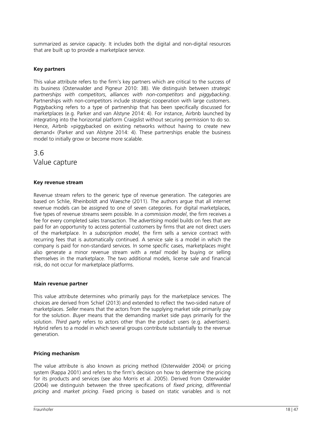summarized as *service capacity*. It includes both the digital and non-digital resources that are built up to provide a marketplace service.

#### **Key partners**

This value attribute refers to the firm's key partners which are critical to the success of its business (Osterwalder and Pigneur 2010: 38). We distinguish between *strategic partnerships with competitors*, *alliances with non-competitors* and *piggybacking*. Partnerships with non-competitors include strategic cooperation with large customers. Piggybacking refers to a type of partnership that has been specifically discussed for marketplaces (e.g. Parker and van Alstyne 2014: 4). For instance, Airbnb launched by integrating into the horizontal platform Craigslist without securing permission to do so. Hence, Airbnb »piggybacked on existing networks without having to create new demand« (Parker and van Alstyne 2014: 4). These partnerships enable the business model to initially grow or become more scalable.

3.6

Value capture

#### **Key revenue stream**

Revenue stream refers to the generic type of revenue generation. The categories are based on Schlie, Rheinboldt and Waesche (2011). The authors argue that all internet revenue models can be assigned to one of seven categories. For digital marketplaces, five types of revenue streams seem possible. In a *commission model*, the firm receives a fee for every completed sales transaction. The *advertising* model builds on fees that are paid for an opportunity to access potential customers by firms that are not direct users of the marketplace. In a *subscription model*, the firm sells a service contract with recurring fees that is automatically continued. A service sale is a model in which the company is paid for non-standard services. In some specific cases, marketplaces might also generate a minor revenue stream with a *retail* model by buying or selling themselves in the marketplace. The two additional models, license sale and financial risk, do not occur for marketplace platforms.

#### **Main revenue partner**

This value attribute determines who primarily pays for the marketplace services. The choices are derived from Schief (2013) and extended to reflect the two-sided nature of marketplaces. *Seller* means that the actors from the supplying market side primarily pay for the solution. *Buyer* means that the demanding market side pays primarily for the solution. *Third party* refers to actors other than the product users (e.g. advertisers). Hybrid refers to a model in which several groups contribute substantially to the revenue generation.

#### **Pricing mechanism**

The value attribute is also known as pricing method (Osterwalder 2004) or pricing system (Rappa 2001) and refers to the firm's decision on how to determine the pricing for its products and services (see also Morris et al. 2005). Derived from Osterwalder (2004) we distinguish between the three specifications of *fixed pricing*, *differential pricing* and *market pricing*. Fixed pricing is based on static variables and is not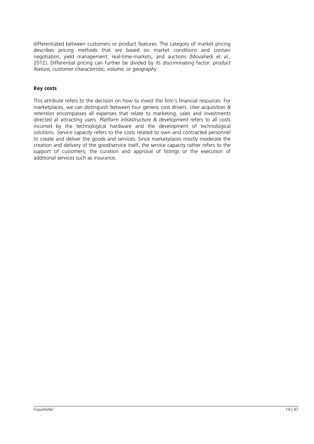differentiated between customers or product features. The category of market pricing describes pricing methods that are based on market conditions and contain negotiation, yield management, real-time-markets, and auctions (Movahedi et al., 2012). Differential pricing can further be divided by its discriminating factor: *product feature, customer characteristic, volume,* or *geography*.

#### **Key costs**

This attribute refers to the decision on how to invest the firm's financial resources. For marketplaces, we can distinguish between four generic cost drivers. *User acquisition & retention* encompasses all expenses that relate to marketing, sales and investments directed at attracting users. *Platform infrastructure & development* refers to all costs incurred by the technological hardware and the development of technological solutions. *Service capacity* refers to the costs related to own and contracted personnel to create and deliver the goods and services. Since marketplaces mostly moderate the creation and delivery of the good/service itself, the service capacity rather refers to the support of customers, the curation and approval of listings or the execution of additional services such as insurance.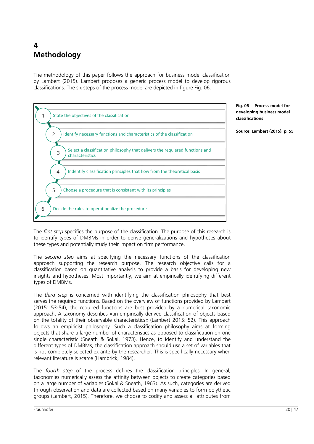### **4 Methodology**

The methodology of this paper follows the approach for business model classification by Lambert (2015). Lambert proposes a generic process model to develop rigorous classifications. The six steps of the process model are depicted in figure [Fig. 06.](#page-20-0)



<span id="page-20-0"></span>**Fig. 06 Process model for developing business model classifications**

**Source: Lambert (2015), p. 55**

The *first step* specifies the purpose of the classification. The purpose of this research is to identify types of DMBMs in order to derive generalizations and hypotheses about these types and potentially study their impact on firm performance.

The *second step* aims at specifying the necessary functions of the classification approach supporting the research purpose. The research objective calls for a classification based on quantitative analysis to provide a basis for developing new insights and hypotheses. Most importantly, we aim at empirically identifying different types of DMBMs.

The *third step* is concerned with identifying the classification philosophy that best serves the required functions. Based on the overview of functions provided by Lambert (2015: 53-54), the required functions are best provided by a numerical taxonomic approach. A taxonomy describes »an empirically derived classification of objects based on the totality of their observable characteristics« (Lambert 2015: 52). This approach follows an empiricist philosophy. Such a classification philosophy aims at forming objects that share a large number of characteristics as opposed to classification on one single characteristic (Sneath & Sokal, 1973). Hence, to identify and understand the different types of DMBMs, the classification approach should use a set of variables that is not completely selected ex ante by the researcher. This is specifically necessary when relevant literature is scarce (Hambrick, 1984).

The *fourth step* of the process defines the classification principles. In general, taxonomies numerically assess the affinity between objects to create categories based on a large number of variables (Sokal & Sneath, 1963). As such, categories are derived through observation and data are collected based on many variables to form polythetic groups (Lambert, 2015). Therefore, we choose to codify and assess all attributes from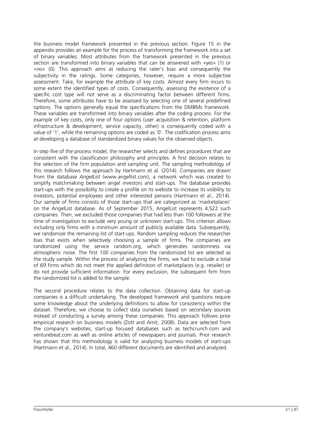the business model framework presented in the previous section. Figure 15 in the appendix provides an example for the process of transforming the framework into a set of binary variables. Most attributes from the framework presented in the previous section are transformed into binary variables that can be answered with »yes« (1) or »no« (0). This approach aims at reducing the rater's bias and consequently the subjectivity in the ratings. Some categories, however, require a more subjective assessment. Take, for example the attribute of key costs. Almost every firm incurs to some extent the identified types of costs. Consequently, assessing the existence of a specific cost type will not serve as a discriminating factor between different firms. Therefore, some attributes have to be assessed by selecting one of several predefined options. The options generally equal the specifications from the DMBMs framework. These variables are transformed into binary variables after the coding process. For the example of key costs, only one of four options (user acquisition & retention, platform infrastructure & development, service capacity, other) is consequently coded with a value of '1', while the remaining options are coded as '0'. The codification process aims at developing a database of standardized binary values for the observed objects.

In s*tep five* of the process model, the researcher selects and defines procedures that are consistent with the classification philosophy and principles. A first decision relates to the selection of the firm population and sampling unit. The sampling methodology of this research follows the approach by Hartmann et al. (2014). Companies are drawn from the database *AngelList* (www.angellist.com), a network which was created to simplify matchmaking between angel investors and start-ups. The database provides start-ups with the possibility to create a profile on its website to increase its visibility to investors, potential employees and other interested persons (Hartmann et al., 2014). Our sample of firms consists of those start-ups that are categorized as 'marketplaces' on the AngelList database. As of September 2015, AngelList represents 4,522 such companies. Then, we excluded those companies that had less than 100 followers at the time of investigation to exclude very young or unknown start-ups. This criterion allows including only firms with a minimum amount of publicly available data. Subsequently, we randomize the remaining list of start-ups. Random sampling reduces the researcher bias that exists when selectively choosing a sample of firms. The companies are randomized using the service random.org, which generates randomness via atmospheric noise. The first 100 companies from the randomized list are selected as the study sample. Within the process of analyzing the firms, we had to exclude a total of 69 firms which do not meet the applied definition of marketplaces (e.g. retailer) or do not provide sufficient information. For every exclusion, the subsequent firm from the randomized list is added to the sample.

The second procedure relates to the data collection. Obtaining data for start-up companies is a difficult undertaking. The developed framework and questions require some knowledge about the underlying definitions to allow for consistency within the dataset. Therefore, we choose to collect data ourselves based on secondary sources instead of conducting a survey among these companies. This approach follows prior empirical research on business models (Zott and Amit, 2008). Data are selected from the company's websites, start-up focused databases such as techcrunch.com and venturebeat.com as well as online articles of newspapers and journals. Prior research has shown that this methodology is valid for analyzing business models of start-ups (Hartmann et al., 2014). In total, 460 different documents are identified and analyzed.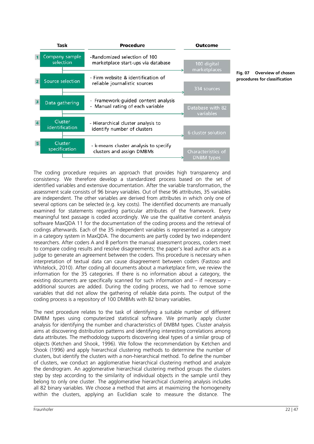

The coding procedure requires an approach that provides high transparency and consistency. We therefore develop a standardized process based on the set of identified variables and extensive documentation. After the variable transformation, the assessment scale consists of 96 binary variables. Out of these 96 attributes, 35 variables are independent. The other variables are derived from attributes in which only one of several options can be selected (e.g. key costs). The identified documents are manually examined for statements regarding particular attributes of the framework. Every meaningful text passage is coded accordingly. We use the qualitative content analysis software MaxQDA 11 for the documentation of the coding process and the retrieval of codings afterwards. Each of the 35 independent variables is represented as a category in a category system in MaxQDA. The documents are partly coded by two independent researchers. After coders A and B perform the manual assessment process, coders meet to compare coding results and resolve disagreements; the paper's lead author acts as a judge to generate an agreement between the coders. This procedure is necessary when interpretation of textual data can cause disagreement between coders (Fastoso and Whitelock, 2010). After coding all documents about a marketplace firm, we review the information for the 35 categories. If there is no information about a category, the existing documents are specifically scanned for such information and – if necessary – additional sources are added. During the coding process, we had to remove some variables that did not allow the gathering of reliable data points. The output of the coding process is a repository of 100 DMBMs with 82 binary variables.

The next procedure relates to the task of identifying a suitable number of different DMBM types using computerized statistical software. We primarily apply cluster analysis for identifying the number and characteristics of DMBM types. Cluster analysis aims at discovering distribution patterns and identifying interesting correlations among data attributes. The methodology supports discovering ideal types of a similar group of objects (Ketchen and Shook, 1996). We follow the recommendation by Ketchen and Shook (1996) and apply hierarchical clustering methods to determine the number of clusters, but identify the clusters with a non-hierarchical method. To define the number of clusters, we conduct an agglomerative hierarchical clustering method and analyze the dendrogram. An agglomerative hierarchical clustering method groups the clusters step by step according to the similarity of individual objects in the sample until they belong to only one cluster. The agglomerative hierarchical clustering analysis includes all 82 binary variables. We choose a method that aims at maximizing the homogeneity within the clusters, applying an Euclidian scale to measure the distance. The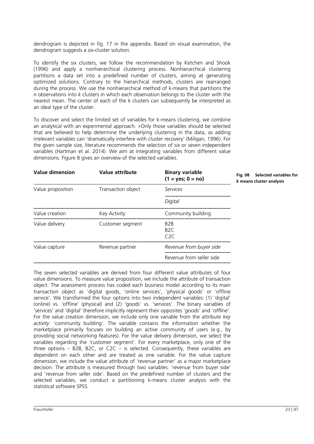dendrogram is depicted in fig. 17 in the appendix. Based on visual examination, the dendrogram suggests a six-cluster solution.

To identify the six clusters, we follow the recommendation by Ketchen and Shook (1996) and apply a nonhierarchical clustering process. Nonhierarchical clustering partitions a data set into a predefined number of clusters, aiming at generating optimized solutions. Contrary to the hierarchical methods, clusters are rearranged during the process. We use the nonhierarchical method of k-means that partitions the *n* observations into *k* clusters in which each observation belongs to the cluster with the nearest mean. The center of each of the k clusters can subsequently be interpreted as an ideal type of the cluster.

To discover and select the limited set of variables for k-means clustering, we combine an analytical with an experimental approach. »Only those variables should be selected that are believed to help determine the underlying clustering in the data, as adding irrelevant variables can 'dramatically interfere with cluster recovery' (Miligan, 1996). For the given sample size, literature recommends the selection of six or seven independent variables (Hartman et al. 2014). We aim at integrating variables from different value dimensions. Figure 8 gives an overview of the selected variables.

| <b>Value dimension</b>             | Value attribute    | <b>Binary variable</b><br>$(1 = yes; 0 = no)$            |
|------------------------------------|--------------------|----------------------------------------------------------|
| Value proposition                  | Transaction object | Services                                                 |
|                                    |                    | Digital                                                  |
| Value creation                     | Key Activity       | Community building                                       |
| Value delivery<br>Customer segment |                    | R <sub>2</sub> R<br>B <sub>2</sub> C<br>C <sub>2</sub> C |
| Value capture                      | Revenue partner    | Revenue from buyer side                                  |
|                                    |                    | Revenue from seller side                                 |

**Fig. 08 Selected variables for k means cluster analysis**

The seven selected variables are derived from four different value attributes of four value dimensions. To measure value proposition, we include the attribute of transaction object. The assessment process has coded each business model according to its main transaction object as 'digital goods, 'online services', 'physical goods' or 'offline service'. We transformed the four options into two independent variables: (1) 'digital' (online) vs. 'offline' (physical) and (2) 'goods' vs. 'services'. The binary variables of 'services' and 'digital' therefore implicitly represent their opposites '*goods'* and '*offline'.*  For the value creation dimension, we include only one variable from the attribute *key activity*: 'community building'. The variable contains the information whether the marketplace primarily focuses on building an active community of users (e.g., by providing social networking features). For the value delivery dimension, we select the variables regarding the *'*customer segment'. For every marketplace, only one of the three options – B2B, B2C, or C2C – is selected. Consequently, these variables are dependent on each other and are treated as one variable. For the value capture dimension, we include the value attribute of 'revenue partner' as a major marketplace decision. The attribute is measured through two variables: 'revenue from buyer side' and 'revenue from seller side'. Based on the predefined number of clusters and the selected variables, we conduct a partitioning k-means cluster analysis with the statistical software SPSS.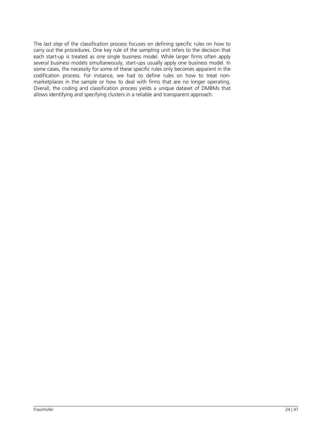The *last step* of the classification process focuses on defining specific rules on how to carry out the procedures. One key rule of the sampling unit refers to the decision that each start-up is treated as one single business model. While larger firms often apply several business models simultaneously, start-ups usually apply one business model. In some cases, the necessity for some of these specific rules only becomes apparent in the codification process. For instance, we had to define rules on how to treat nonmarketplaces in the sample or how to deal with firms that are no longer operating. Overall, the coding and classification process yields a unique dataset of DMBMs that allows identifying and specifying clusters in a reliable and transparent approach.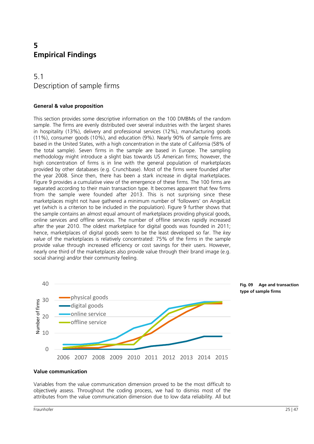### **5 Empirical Findings**

### 5.1 Description of sample firms

#### **General & value proposition**

This section provides some descriptive information on the 100 DMBMs of the random sample. The firms are evenly distributed over several industries with the largest shares in hospitality (13%), delivery and professional services (12%), manufacturing goods (11%), consumer goods (10%), and education (9%). Nearly 90% of sample firms are based in the United States, with a high concentration in the state of California (58% of the total sample). Seven firms in the sample are based in Europe. The sampling methodology might introduce a slight bias towards US American firms; however, the high concentration of firms is in line with the general population of marketplaces provided by other databases (e.g. Crunchbase). Most of the firms were founded after the year 2008. Since then, there has been a stark increase in digital marketplaces. Figure 9 provides a cumulative view of the emergence of these firms. The 100 firms are separated according to their main transaction type. It becomes apparent that few firms from the sample were founded after 2013. This is not surprising since these marketplaces might not have gathered a minimum number of 'followers' on AngelList yet (which is a criterion to be included in the population). Figure 9 further shows that the sample contains an almost equal amount of marketplaces providing physical goods, online services and offline services. The number of offline services rapidly increased after the year 2010. The oldest marketplace for digital goods was founded in 2011; hence, marketplaces of digital goods seem to be the least developed so far. The *key value* of the marketplaces is relatively concentrated: 75% of the firms in the sample provide value through increased efficiency or cost savings for their users. However, nearly one third of the marketplaces also provide value through their brand image (e.g. social sharing) and/or their community feeling.



#### **Value communication**

Variables from the value communication dimension proved to be the most difficult to objectively assess. Throughout the coding process, we had to dismiss most of the attributes from the value communication dimension due to low data reliability. All but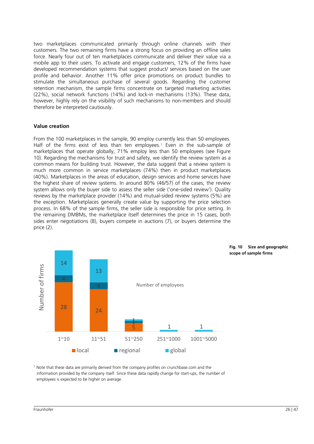two marketplaces communicated primarily through online channels with their customers. The two remaining firms have a strong focus on providing an offline sales force. Nearly four out of ten marketplaces communicate and deliver their value via a mobile app to their users. To activate and engage customers, 12% of the firms have developed recommendation systems that suggest product/ services based on the user profile and behavior. Another 11% offer price promotions on product bundles to stimulate the simultaneous purchase of several goods. Regarding the customer retention mechanism, the sample firms concentrate on targeted marketing activities (22%), social network functions (14%) and lock-in mechanisms (13%). These data, however, highly rely on the visibility of such mechanisms to non-members and should therefore be interpreted cautiously.

#### **Value creation**

From the 100 marketplaces in the sample, 90 employ currently less than 50 employees. Half of the firms exist of less than ten employees.<sup>[1](#page-26-0)</sup> Even in the sub-sample of marketplaces that operate globally, 71% employ less than 50 employees (see Figure 10). Regarding the mechanisms for trust and safety, we identify the review system as a common means for building trust. However, the data suggest that a review system is much more common in service marketplaces (74%) then in product marketplaces (40%). Marketplaces in the areas of education, design services and home services have the highest share of review systems. In around 80% (46/57) of the cases, the review system allows only the buyer side to assess the seller side ('one-sided review'). Quality reviews by the marketplace provider (14%) and mutual-sided review systems (5%) are the exception. Marketplaces generally create value by supporting the price selection process. In 68% of the sample firms, the seller side is responsible for price setting. In the remaining DMBMs, the marketplace itself determines the price in 15 cases, both sides enter negotiations (8), buyers compete in auctions (7), or buyers determine the price (2).





<span id="page-26-0"></span> $<sup>1</sup>$  Note that these data are primarily derived from the company profiles on crunchbase.com and the</sup> information provided by the company itself. Since these data rapidly change for start-ups, the number of employees is expected to be higher on average.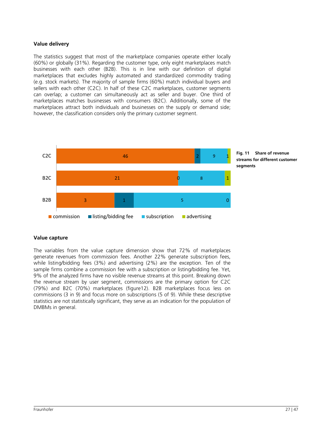#### **Value delivery**

The statistics suggest that most of the marketplace companies operate either locally (60%) or globally (31%). Regarding the customer type, only eight marketplaces match businesses with each other (B2B). This is in line with our definition of digital marketplaces that excludes highly automated and standardized commodity trading (e.g. stock markets). The majority of sample firms (60%) match individual buyers and sellers with each other (C2C). In half of these C2C marketplaces, customer segments can overlap; a customer can simultaneously act as seller and buyer. One third of marketplaces matches businesses with consumers (B2C). Additionally, some of the marketplaces attract both individuals and businesses on the supply or demand side; however, the classification considers only the primary customer segment.



**Fig. 11 Share of revenue streams for different customer segments**

#### **Value capture**

The variables from the value capture dimension show that 72% of marketplaces generate revenues from commission fees. Another 22% generate subscription fees, while listing/bidding fees (3%) and advertising (2%) are the exception. Ten of the sample firms combine a commission fee with a subscription or listing/bidding fee. Yet, 9% of the analyzed firms have no visible revenue streams at this point. Breaking down the revenue stream by user segment, commissions are the primary option for C2C (79%) and B2C (70%) marketplaces (figure12). B2B marketplaces focus less on commissions (3 in 9) and focus more on subscriptions (5 of 9). While these descriptive statistics are not statistically significant, they serve as an indication for the population of DMBMs in general.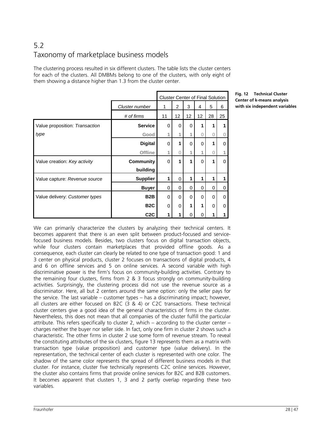### 5.2 Taxonomy of marketplace business models

The clustering process resulted in six different clusters. The table lists the cluster centers for each of the clusters. All DMBMs belong to one of the clusters, with only eight of them showing a distance higher than 1.3 from the cluster center.

|                                |                  | <b>Cluster Center of Final Solution</b> |          |          |    |                  |          |
|--------------------------------|------------------|-----------------------------------------|----------|----------|----|------------------|----------|
|                                | Cluster number   | 1                                       | 2        | 3        | 4  | 5                | 6        |
|                                | # of firms       | 11                                      | 12       | 12       | 12 | 28               | 25       |
| Value proposition: Transaction | <b>Service</b>   | 0                                       | 0        | $\Omega$ |    |                  | 1        |
| type                           | Good             | 1                                       | 1        | 1        |    | 0                | 0        |
|                                | <b>Digital</b>   | 0                                       | 1        | $\Omega$ | O  |                  | 0        |
|                                | <b>Offline</b>   | 1                                       | $\Omega$ |          |    | $\left( \right)$ |          |
| Value creation: Key activity   | <b>Community</b> | 0                                       | 1        | 1        | ∩  |                  | $\Omega$ |
|                                | building         |                                         |          |          |    |                  |          |
| Value capture: Revenue source  | <b>Supplier</b>  | 1                                       | 0        | 1        | 1  | 1                | 1        |
|                                | <b>Buyer</b>     | 0                                       | $\Omega$ | 0        | 0  | $\Omega$         | 0        |
| Value delivery: Customer types | B <sub>2</sub> B | $\Omega$                                | $\Omega$ | $\Omega$ | 0  | $\Omega$         | $\Omega$ |
|                                | B <sub>2</sub> C | 0                                       | 0        | 1        |    | 0                | 0        |
|                                | C <sub>2</sub> C | 1                                       | 1        |          |    |                  |          |

**Fig. 12 Technical Cluster Center of k-means analysis with six independent variables**

We can primarily characterize the clusters by analyzing their technical centers. It becomes apparent that there is an even split between product-focused and servicefocused business models. Besides, two clusters focus on digital transaction objects, while four clusters contain marketplaces that provided offline goods. As a consequence, each cluster can clearly be related to one type of transaction good: 1 and 3 center on physical products, cluster 2 focuses on transactions of digital products, 4 and 6 on offline services and 5 on online services. A second variable with high discriminative power is the firm's focus on community-building activities. Contrary to the remaining four clusters, firms from 2 & 3 focus strongly on community-building activities. Surprisingly, the clustering process did not use the revenue source as a discriminator. Here, all but 2 centers around the same option: only the seller pays for the service. The last variable – customer types – has a discriminating impact; however, all clusters are either focused on B2C  $(3 \& 4)$  or C2C transactions. These technical cluster centers give a good idea of the general characteristics of firms in the cluster. Nevertheless, this does not mean that all companies of the cluster fulfill the particular attribute. This refers specifically to cluster 2, which  $-$  according to the cluster center  $$ charges neither the buyer nor seller side. In fact, only one firm in cluster 2 shows such a characteristic. The other firms in cluster 2 use some form of revenue stream. To reveal the constituting attributes of the six clusters, figure 13 represents them as a matrix with transaction type (value proposition) and customer type (value delivery). In the representation, the technical center of each cluster is represented with one color. The shadow of the same color represents the spread of different business models in that cluster. For instance, cluster five technically represents C2C online services. However, the cluster also contains firms that provide online services for B2C and B2B customers. It becomes apparent that clusters 1, 3 and 2 partly overlap regarding these two variables.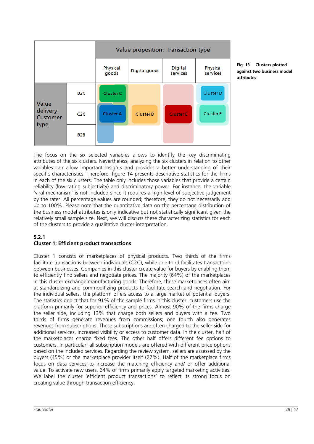

**Fig. 13 Clusters plotted against two business model attributes**

The focus on the six selected variables allows to identify the key discriminating attributes of the six clusters. Nevertheless, analyzing the six clusters in relation to other variables can allow important insights and provides a better understanding of their specific characteristics. Therefore, figure 14 presents descriptive statistics for the firms in each of the six clusters. The table only includes those variables that provide a certain reliability (low rating subjectivity) and discriminatory power. For instance, the variable 'viral mechanism' is not included since it requires a high level of subjective judgement by the rater. All percentage values are rounded; therefore, they do not necessarily add up to 100%. Please note that the quantitative data on the percentage distribution of the business model attributes is only indicative but not statistically significant given the relatively small sample size. Next, we will discuss these characterizing statistics for each of the clusters to provide a qualitative cluster interpretation.

#### **5.2.1**

#### **Cluster 1: Efficient product transactions**

Cluster 1 consists of marketplaces of physical products. Two thirds of the firms facilitate transactions between individuals (C2C), while one third facilitates transactions between businesses. Companies in this cluster create value for buyers by enabling them to efficiently find sellers and negotiate prices. The majority (64%) of the marketplaces in this cluster exchange manufacturing goods. Therefore, these marketplaces often aim at standardizing and commoditizing products to facilitate search and negotiation. For the individual sellers, the platform offers access to a large market of potential buyers. The statistics depict that for 91% of the sample firms in this cluster, customers use the platform primarily for superior efficiency and prices. Almost 90% of the firms charge the seller side, including 13% that charge both sellers and buyers with a fee. Two thirds of firms generate revenues from commissions; one fourth also generates revenues from subscriptions. These subscriptions are often charged to the seller side for additional services, increased visibility or access to customer data. In the cluster, half of the marketplaces charge fixed fees. The other half offers different fee options to customers. In particular, all subscription models are offered with different price options based on the included services. Regarding the review system, sellers are assessed by the buyers (45%) or the marketplace provider itself (27%). Half of the marketplace firms focus on data services to increase the matching efficiency and/ or offer additional value. To activate new users, 64% of firms primarily apply targeted marketing activities. We label the cluster 'efficient product transactions' to reflect its strong focus on creating value through transaction efficiency.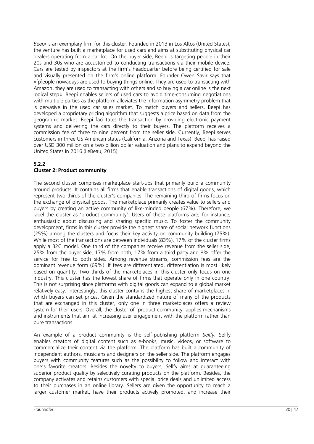*Beepi* is an exemplary firm for this cluster. Founded in 2013 in Los Altos (United States), the venture has built a marketplace for used cars and aims at substituting physical car dealers operating from a car lot. On the buyer side, Beepi is targeting people in their 20s and 30s who are accustomed to conducting transactions via their mobile device. Cars are tested by inspectors at the firm's headquarter before being certified for sale and visually presented on the firm's online platform. Founder Owen Savir says that »[p]eople nowadays are used to buying things online. They are used to transacting with Amazon, they are used to transacting with others and so buying a car online is the next logical step«. Beepi enables sellers of used cars to avoid time-consuming negotiations with multiple parties as the platform alleviates the information asymmetry problem that is pervasive in the used car sales market. To match buyers and sellers, Beepi has developed a proprietary pricing algorithm that suggests a price based on data from the geographic market. Beepi facilitates the transaction by providing electronic payment systems and delivering the cars directly to their buyers. The platform receives a commission fee of three to nine percent from the seller side. Currently, Beepi serves customers in three US American states (California, Arizona and Texas). Beepi has raised over USD 300 million on a two billion dollar valuation and plans to expand beyond the United States in 2016 (LeBeau, 2015).

#### **5.2.2**

#### **Cluster 2: Product community**

The second cluster comprises marketplace start-ups that primarily build a community around products. It contains all firms that enable transactions of digital goods, which represent two thirds of the cluster's companies. The remaining third of firms focus on the exchange of physical goods. The marketplace primarily creates value to sellers and buyers by creating an active community of like-minded people (67%). Therefore, we label the cluster as 'product community'. Users of these platforms are, for instance, enthusiastic about discussing and sharing specific music. To foster the community development, firms in this cluster provide the highest share of social network functions (25%) among the clusters and focus their key activity on community building (75%). While most of the transactions are between individuals (83%), 17% of the cluster firms apply a B2C model. One third of the companies receive revenue from the seller side, 25% from the buyer side, 17% from both, 17% from a third party and 8% offer the service for free to both sides. Among revenue streams, commission fees are the dominant revenue form (69%). If fees are differentiated, differentiation is most likely based on quantity. Two thirds of the marketplaces in this cluster only focus on one industry. This cluster has the lowest share of firms that operate only in one country. This is not surprising since platforms with digital goods can expand to a global market relatively easy. Interestingly, this cluster contains the highest share of marketplaces in which buyers can set prices. Given the standardized nature of many of the products that are exchanged in this cluster, only one in three marketplaces offers a review system for their users. Overall, the cluster of 'product community' applies mechanisms and instruments that aim at increasing user engagement with the platform rather than pure transactions.

An example of a product community is the self-publishing platform *Sellfy.* Sellfy enables creators of digital content such as e-books, music, videos, or software to commercialize their content via the platform. The platform has built a community of independent authors, musicians and designers on the seller side. The platform engages buyers with community features such as the possibility to follow and interact with one's favorite creators. Besides the novelty to buyers, Sellfy aims at guaranteeing superior product quality by selectively curating products on the platform. Besides, the company activates and retains customers with special price deals and unlimited access to their purchases in an online library. Sellers are given the opportunity to reach a larger customer market, have their products actively promoted, and increase their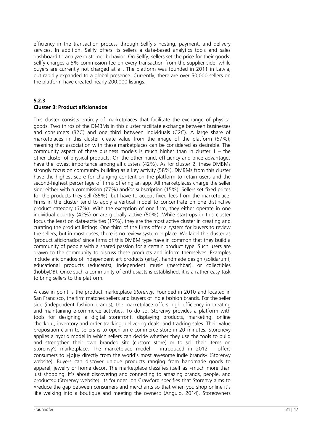efficiency in the transaction process through Sellfy's hosting, payment, and delivery services. In addition, Sellfy offers its sellers a data-based analytics tools and sales dashboard to analyze customer behavior. On Sellfy, sellers set the price for their goods. Sellfy charges a 5% commission fee on every transaction from the supplier side, while buyers are currently not charged at all. The platform was founded in 2011 in Latvia, but rapidly expanded to a global presence. Currently, there are over 50,000 sellers on the platform have created nearly 200.000 listings.

#### **5.2.3 Cluster 3: Product aficionados**

This cluster consists entirely of marketplaces that facilitate the exchange of physical goods. Two thirds of the DMBMs in this cluster facilitate exchange between businesses and consumers (B2C) and one third between individuals (C2C). A large share of marketplaces in this cluster create value from the image of the platform (67%); meaning that association with these marketplaces can be considered as desirable. The community aspect of these business models is much higher than in cluster  $1 -$  the other cluster of physical products. On the other hand, efficiency and price advantages have the lowest importance among all clusters (42%). As for cluster 2, these DMBMs strongly focus on community building as a key activity (58%). DMBMs from this cluster have the highest score for changing content on the platform to retain users and the second-highest percentage of firms offering an app. All marketplaces charge the seller side; either with a commission (77%) and/or subscription (15%). Sellers set fixed prices for the products they sell (85%), but have to accept fixed fees from the marketplace. Firms in the cluster tend to apply a vertical model to concentrate on one distinctive product category (67%). With the exception of one firm, they either operate in one individual country (42%) or are globally active (50%). While start-ups in this cluster focus the least on data-activities (17%), they are the most active cluster in creating and curating the product listings. One third of the firms offer a system for buyers to review the sellers; but in most cases, there is no review system in place. We label the cluster as 'product aficionados' since firms of this DMBM type have in common that they build a community of people with a shared passion for a certain product type. Such users are drawn to the community to discuss these products and inform themselves. Examples include aficionados of independent art products (artsy), handmade design (solidarum), educational products (educents), independent music (merchbar), or collectibles (hobbyDB). Once such a community of enthusiasts is established, it is a rather easy task to bring sellers to the platform.

A case in point is the product marketplace *Storenvy.* Founded in 2010 and located in San Francisco, the firm matches sellers and buyers of indie fashion brands. For the seller side (independent fashion brands), the marketplace offers high efficiency in creating and maintaining e-commerce activities. To do so, Storenvy provides a platform with tools for designing a digital storefront, displaying products, marketing, online checkout, inventory and order tracking, delivering deals, and tracking sales. Their value proposition claim to sellers is to open an e-commerce store in 20 minutes. Storenevy applies a hybrid model in which sellers can decide whether they use the tools to build and strengthen their own branded site (custom store) or to sell their items on Storenvy's marketplace. The marketplace model – introduced in 2012 – offers consumers to »[b]uy directly from the world's most awesome indie brands« (Storenvy website). Buyers can discover unique products ranging from handmade goods to apparel, jewelry or home decor. The marketplace classifies itself as »much more than just shopping. It's about discovering and connecting to amazing brands, people, and products« (Storenvy website). Its founder Jon Crawford specifies that Storenvy aims to »reduce the gap between consumers and merchants so that when you shop online it's like walking into a boutique and meeting the owner« (Angulo, 2014). Storeowners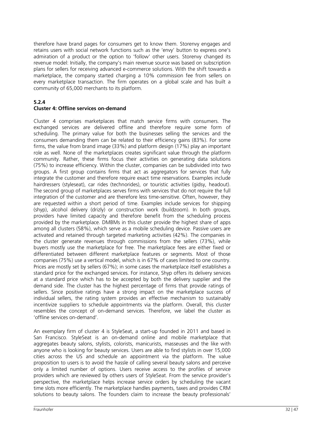therefore have brand pages for consumers get to know them. Storenvy engages and retains users with social network functions such as the 'envy' button to express one's admiration of a product or the option to 'follow' other users. Storenvy changed its revenue model: Initially, the company's main revenue source was based on subscription plans for sellers for receiving advanced e-commerce solutions. With the shift towards a marketplace, the company started charging a 10% commission fee from sellers on every marketplace transaction. The firm operates on a global scale and has built a community of 65,000 merchants to its platform.

#### **5.2.4**

#### **Cluster 4: Offline services on-demand**

Cluster 4 comprises marketplaces that match service firms with consumers. The exchanged services are delivered offline and therefore require some form of scheduling. The primary value for both the businesses selling the services and the consumers demanding them can be related to their efficiency gains (83%). For some firms, the value from brand image (33%) and platform design (17%) play an important role as well. None of the marketplaces creates significant value through the platform community. Rather, these firms focus their activities on generating data solutions (75%) to increase efficiency. Within the cluster, companies can be subdivided into two groups. A first group contains firms that act as aggregators for services that fully integrate the customer and therefore require exact time reservations. Examples include hairdressers (styleseat), car rides (technorides), or touristic activities (gidsy, headout). The second group of marketplaces serves firms with services that do not require the full integration of the customer and are therefore less time-sensitive. Often, however, they are requested within a short period of time. Examples include services for shipping (shyp), alcohol delivery (drizly) or construction work (buildzoom). In both groups, providers have limited capacity and therefore benefit from the scheduling process provided by the marketplace. DMBMs in this cluster provide the highest share of apps among all clusters (58%), which serve as a mobile scheduling device. Passive users are activated and retained through targeted marketing activities (42%). The companies in the cluster generate revenues through commissions from the sellers (73%), while buyers mostly use the marketplace for free. The marketplace fees are either fixed or differentiated between different marketplace features or segments. Most of those companies (75%) use a vertical model, which is in 67% of cases limited to one country. Prices are mostly set by sellers (67%); in some cases the marketplace itself establishes a standard price for the exchanged services. For instance, Shyp offers its delivery services at a standard price which has to be accepted by both the delivery supplier and the demand side. The cluster has the highest percentage of firms that provide ratings of sellers. Since positive ratings have a strong impact on the marketplace success of individual sellers, the rating system provides an effective mechanism to sustainably incentivize suppliers to schedule appointments via the platform. Overall, this cluster resembles the concept of on-demand services. Therefore, we label the cluster as 'offline services on-demand'.

An exemplary firm of cluster 4 is StyleSeat, a start-up founded in 2011 and based in San Francisco. StyleSeat is an on-demand online and mobile marketplace that aggregates beauty salons, stylists, colorists, manicurists, masseuses and the like with anyone who is looking for beauty services. Users are able to find stylists in over 15,000 cities across the US and schedule an appointment via the platform. The value proposition to users is to avoid the hassle of calling several beauty salons and perceive only a limited number of options. Users receive access to the profiles of service providers which are reviewed by others users of StyleSeat. From the service provider's perspective, the marketplace helps increase service orders by scheduling the vacant time slots more efficiently. The marketplace handles payments, taxes and provides CRM solutions to beauty salons. The founders claim to increase the beauty professionals'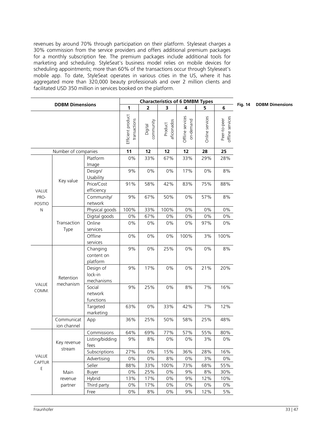revenues by around 70% through participation on their platform. Styleseat charges a 30% commission from the service providers and offers additional premium packages for a monthly subscription fee. The premium packages include additional tools for marketing and scheduling. StyleSeat's business model relies on mobile devices for scheduling appointments; more than 60% of the transactions occur through Styleseat's mobile app. To date, StyleSeat operates in various cities in the US, where it has aggregated more than 320,000 beauty professionals and over 2 million clients and facilitated USD 350 million in services booked on the platform.

| <b>DDBM Dimensions</b> |                           |                                    | <b>Characteristics of 6 DMBM Types</b> |                      |                        |                               |                 |                                  |                |
|------------------------|---------------------------|------------------------------------|----------------------------------------|----------------------|------------------------|-------------------------------|-----------------|----------------------------------|----------------|
|                        |                           |                                    | 1                                      | $\overline{2}$       | 3                      | 4                             | 5               | 6                                | <b>Fig. 14</b> |
|                        |                           |                                    | Efficient product<br>transactions      | community<br>Digital | aficionados<br>Product | Offline services<br>on-demand | Online services | offline services<br>Peer-to-peer |                |
|                        | Number of companies       |                                    | 11                                     | 12                   | 12                     | 12                            | 28              | 25                               |                |
|                        |                           | Platform<br>Image                  | 0%                                     | 33%                  | 67%                    | 33%                           | 29%             | 28%                              |                |
|                        | Key value                 | Design/<br>Usability               | 9%                                     | $0\%$                | 0%                     | 17%                           | 0%              | 8%                               |                |
| <b>VALUE</b>           |                           | Price/Cost<br>efficiency           | 91%                                    | 58%                  | 42%                    | 83%                           | 75%             | 88%                              |                |
| PRO-<br><b>POSITIO</b> |                           | Community/<br>network              | 9%                                     | 67%                  | 50%                    | 0%                            | 57%             | 8%                               |                |
| $\mathsf{N}$           |                           | Physical goods                     | 100%                                   | 33%                  | 100%                   | 0%                            | $0\%$           | 0%                               |                |
|                        |                           | Digital goods                      | 0%                                     | 67%                  | 0%                     | $0\%$                         | 0%              | 0%                               |                |
|                        | Transaction<br>Type       | Online<br>services                 | 0%                                     | 0%                   | 0%                     | 0%                            | 97%             | $0\%$                            |                |
|                        |                           | Offline<br>services                | 0%                                     | $0\%$                | 0%                     | 100%                          | 3%              | 100%                             |                |
|                        | Retention<br>mechanism    | Changing<br>content on<br>platform | 9%                                     | 0%                   | 25%                    | 0%                            | 0%              | 8%                               |                |
|                        |                           | Design of<br>lock-in<br>mechanisms | 9%                                     | 17%                  | 0%                     | 0%                            | 21%             | 20%                              |                |
| VALUE<br>COMM.         |                           | Social<br>network<br>functions     | 9%                                     | 25%                  | 0%                     | 8%                            | 7%              | 16%                              |                |
|                        |                           | Targeted<br>marketing              | 63%                                    | 0%                   | 33%                    | 42%                           | 7%              | 12%                              |                |
|                        | Communicat<br>ion channel | App                                | 36%                                    | 25%                  | 50%                    | 58%                           | 25%             | 48%                              |                |
|                        |                           | Commissions                        | 64%                                    | 69%                  | 77%                    | 57%                           | 55%             | 80%                              |                |
|                        | Key revenue               | Listing/bidding<br>fees            | 9%                                     | 8%                   | 0%                     | 0%                            | 3%              | 0%                               |                |
|                        | stream                    | Subscriptions                      | 27%                                    | 0%                   | 15%                    | 36%                           | 28%             | 16%                              |                |
| VALUE                  |                           | Advertising                        | $0\%$                                  | 0%                   | 8%                     | 0%                            | 3%              | 0%                               |                |
| CAPTUR                 |                           | Seller                             | 88%                                    | 33%                  | 100%                   | 73%                           | 68%             | 55%                              |                |
| Ε                      | Main                      | Buyer                              | 0%                                     | 25%                  | $0\%$                  | 9%                            | 8%              | 30%                              |                |
|                        | revenue                   | Hybrid                             | 13%                                    | 17%                  | 0%                     | 9%                            | 12%             | 10%                              |                |
|                        | partner                   | Third party                        | $0\%$                                  | 17%                  | $0\%$                  | 0%                            | 0%              | 0%                               |                |
|                        |                           | Free                               | 0%                                     | 8%                   | 0%                     | 9%                            | 12%             | 5%                               |                |

**Fig. 14 DDBM Dimensions**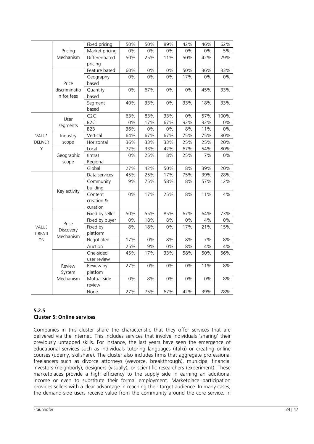|                |                     | Fixed pricing    | 50%   | 50%   | 89% | 42%   | 46% | 62%   |
|----------------|---------------------|------------------|-------|-------|-----|-------|-----|-------|
|                | Pricing             | Market pricing   | 0%    | 0%    | 0%  | 0%    | 0%  | 5%    |
|                | Mechanism           | Differentiated   | 50%   | 25%   | 11% | 50%   | 42% | 29%   |
|                |                     | pricing          |       |       |     |       |     |       |
|                |                     | Feature based    | 60%   | 0%    | 0%  | 50%   | 36% | 33%   |
|                |                     | Geography        | 0%    | $0\%$ | 0%  | 17%   | 0%  | $0\%$ |
|                | Price               | based            |       |       |     |       |     |       |
|                | discriminatio       | Quantity         | 0%    | 67%   | 0%  | 0%    | 45% | 33%   |
|                | n for fees          | based            |       |       |     |       |     |       |
|                |                     | Segment          | 40%   | 33%   | 0%  | 33%   | 18% | 33%   |
|                |                     | based            |       |       |     |       |     |       |
|                | User                | C <sub>2</sub> C | 63%   | 83%   | 33% | 0%    | 57% | 100%  |
|                | segments            | B <sub>2</sub> C | 0%    | 17%   | 67% | 92%   | 32% | $0\%$ |
|                |                     | B <sub>2</sub> B | 36%   | 0%    | 0%  | 8%    | 11% | 0%    |
| <b>VALUE</b>   | Industry            | Vertical         | 64%   | 67%   | 67% | 75%   | 75% | 80%   |
| <b>DELIVER</b> | scope               | Horizontal       | 36%   | 33%   | 33% | 25%   | 25% | 20%   |
| Υ              |                     | Local            | 72%   | 33%   | 42% | 67%   | 54% | 80%   |
|                | Geographic<br>scope | (Intra)          | $0\%$ | 25%   | 8%  | 25%   | 7%  | 0%    |
|                |                     | Regional         |       |       |     |       |     |       |
|                |                     | Global           | 27%   | 42%   | 50% | 8%    | 39% | 20%   |
|                | Key activity        | Data services    | 45%   | 25%   | 17% | 75%   | 39% | 28%   |
|                |                     | Community        | 9%    | 75%   | 58% | 8%    | 57% | 12%   |
|                |                     | building         |       |       |     |       |     |       |
|                |                     | Content          | 0%    | 17%   | 25% | 8%    | 11% | 4%    |
|                |                     | creation &       |       |       |     |       |     |       |
|                |                     | curation         |       |       |     |       |     |       |
|                |                     | Fixed by seller  | 50%   | 55%   | 85% | 67%   | 64% | 73%   |
|                | Price               | Fixed by buyer   | 0%    | 18%   | 8%  | $0\%$ | 4%  | $0\%$ |
| VALUE          | Discovery           | Fixed by         | 8%    | 18%   | 0%  | 17%   | 21% | 15%   |
| CREATI         | Mechanism           | platform         |       |       |     |       |     |       |
| ON             |                     | Negotiated       | 17%   | 0%    | 8%  | 8%    | 7%  | 8%    |
|                |                     | Auction          | 25%   | 9%    | 0%  | 8%    | 4%  | 4%    |
|                |                     | One-sided        | 45%   | 17%   | 33% | 58%   | 50% | 56%   |
|                |                     | user review      |       |       |     |       |     |       |
|                | Review              | Review by        | 27%   | 0%    | 0%  | 0%    | 11% | 8%    |
|                | System              | platfom          |       |       |     |       |     |       |
|                | Mechanism           | Mutual-side      | 0%    | 8%    | 0%  | 0%    | 0%  | 8%    |
|                |                     | review           |       |       |     |       |     |       |
|                |                     | None             | 27%   | 75%   | 67% | 42%   | 39% | 28%   |

#### **5.2.5 Cluster 5: Online services**

Companies in this cluster share the characteristic that they offer services that are delivered via the internet. This includes services that involve individuals 'sharing' their previously untapped skills. For instance, the last years have seen the emergence of educational services such as individuals tutoring languages (italki) or creating online courses (udemy, skillshare). The cluster also includes firms that aggregate professional freelancers such as divorce attorneys (wevorce, breakthrough), municipal financial investors (neighborly), designers (visually), or scientific researchers (experiment). These marketplaces provide a high efficiency to the supply side in earning an additional income or even to substitute their formal employment. Marketplace participation provides sellers with a clear advantage in reaching their target audience. In many cases, the demand-side users receive value from the community around the core service. In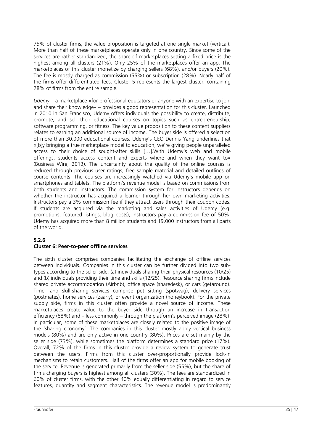75% of cluster firms, the value proposition is targeted at one single market (vertical). More than half of these marketplaces operate only in one country. Since some of the services are rather standardized, the share of marketplaces setting a fixed price is the highest among all clusters (21%). Only 25% of the marketplaces offer an app. The marketplaces of this cluster monetize by charging sellers (68%), and/or buyers (20%). The fee is mostly charged as commission (55%) or subscription (28%). Nearly half of the firms offer differentiated fees. Cluster 5 represents the largest cluster, containing 28% of firms from the entire sample.

*Udemy* – a marketplace »for professional educators or anyone with an expertise to join and share their knowledge« – provides a good representation for this cluster. Launched in 2010 in San Francisco, Udemy offers individuals the possibility to create, distribute, promote, and sell their educational courses on topics such as entrepreneurship, software programming, or fitness. The key value proposition to these content suppliers relates to earning an additional source of income. The buyer side is offered a selection of more than 30.000 educational courses. Udemy's CEO Dennis Yang underlines that »[b]y bringing a true marketplace model to education, we're giving people unparalleled access to their choice of sought-after skills […].With Udemy's web and mobile offerings, students access content and experts where and when they want to« (Business Wire, 2013). The uncertainty about the quality of the online courses is reduced through previous user ratings, free sample material and detailed outlines of course contents. The courses are increasingly watched via Udemy's mobile app on smartphones and tablets. The platform's revenue model is based on commissions from both students and instructors. The commission system for instructors depends on whether the instructor has acquired a learner through her own marketing activities. Instructors pay a 3% commission fee if they attract users through their coupon codes. If students are acquired via the marketing and sales activities of Udemy (e.g. promotions, featured listings, blog posts), instructors pay a commission fee of 50%. Udemy has acquired more than 8 million students and 19.000 instructors from all parts of the world.

#### **5.2.6**

#### **Cluster 6: Peer-to-peer offline services**

The sixth cluster comprises companies facilitating the exchange of offline services between individuals. Companies in this cluster can be further divided into two subtypes according to the seller side: (a) individuals sharing their physical resources (10/25) and (b) individuals providing their time and skills (12/25). Resource sharing firms include shared private accommodation (Airbnb), office space (sharedesk), or cars (getaround). Time- and skill-sharing services comprise pet sitting (spotwag), delivery services (postmates), home services (zaarly), or event organization (honeybook). For the private supply side, firms in this cluster often provide a novel source of income. These marketplaces create value to the buyer side through an increase in transaction efficiency (88%) and – less commonly – through the platform's perceived image (28%). In particular, some of these marketplaces are closely related to the positive image of the 'sharing economy'. The companies in this cluster mostly apply vertical business models (80%) and are only active in one country (80%). Prices are set mainly by the seller side (73%), while sometimes the platform determines a standard price (17%). Overall, 72% of the firms in this cluster provide a review system to generate trust between the users. Firms from this cluster over-proportionally provide lock-in mechanisms to retain customers. Half of the firms offer an app for mobile booking of the service. Revenue is generated primarily from the seller side (55%), but the share of firms charging buyers is highest among all clusters (30%). The fees are standardized in 60% of cluster firms, with the other 40% equally differentiating in regard to service features, quantity and segment characteristics. The revenue model is predominantly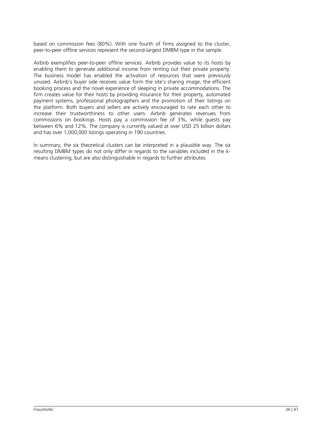based on commission fees (80%). With one fourth of firms assigned to the cluster, peer-to-peer offline services represent the second-largest DMBM type in the sample.

Airbnb exemplifies peer-to-peer offline services. Airbnb provides value to its hosts by enabling them to generate additional income from renting out their private property. The business model has enabled the activation of resources that were previously unused. Airbnb's buyer side receives value form the site's sharing image, the efficient booking process and the novel experience of sleeping in private accommodations. The firm creates value for their hosts by providing insurance for their property, automated payment systems, professional photographers and the promotion of their listings on the platform. Both buyers and sellers are actively encouraged to rate each other to increase their trustworthiness to other users. Airbnb generates revenues from commissions on bookings. Hosts pay a commission fee of 3%, while guests pay between 6% and 12%. The company is currently valued at over USD 25 billion dollars and has over 1,000,000 listings operating in 190 countries.

In summary, the six theoretical clusters can be interpreted in a plausible way. The six resulting DMBM types do not only differ in regards to the variables included in the kmeans clustering, but are also distinguishable in regards to further attributes.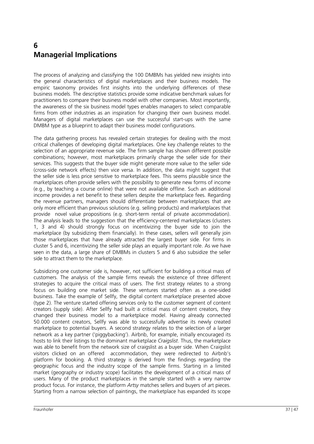### **6 Managerial Implications**

The process of analyzing and classifying the 100 DMBMs has yielded new insights into the general characteristics of digital marketplaces and their business models. The empiric taxonomy provides first insights into the underlying differences of these business models. The descriptive statistics provide some indicative benchmark values for practitioners to compare their business model with other companies. Most importantly, the awareness of the six business model types enables managers to select comparable firms from other industries as an inspiration for changing their own business model. Managers of digital marketplaces can use the successful start-ups with the same DMBM type as a blueprint to adapt their business model configurations.

The data gathering process has revealed certain strategies for dealing with the most critical challenges of developing digital marketplaces. One key challenge relates to the selection of an appropriate revenue side. The firm sample has shown different possible combinations; however, most marketplaces primarily charge the seller side for their services. This suggests that the buyer side might generate more value to the seller side (cross-side network effects) then vice versa. In addition, the data might suggest that the seller side is less price sensitive to marketplace fees. This seems plausible since the marketplaces often provide sellers with the possibility to generate new forms of income (e.g., by teaching a course online) that were not available offline. Such an additional income provides a net benefit to these sellers despite the marketplace fees. Regarding the revenue partners, managers should differentiate between marketplaces that are only more efficient than previous solutions (e.g. selling products) and marketplaces that provide novel value propositions (e.g. short-term rental of private accommodation). The analysis leads to the suggestion that the efficiency-centered marketplaces (clusters 1, 3 and 4) should strongly focus on incentivizing the buyer side to join the marketplace (by subsidizing them financially). In these cases, sellers will generally join those marketplaces that have already attracted the largest buyer side. For firms in cluster 5 and 6, incentivizing the seller side plays an equally important role. As we have seen in the data, a large share of DMBMs in clusters 5 and 6 also subsidize the seller side to attract them to the marketplace.

Subsidizing one customer side is, however, not sufficient for building a critical mass of customers. The analysis of the sample firms reveals the existence of three different strategies to acquire the critical mass of users. The first strategy relates to a strong focus on building one market side. These ventures started often as a one-sided business. Take the example of Sellfy, the digital content marketplace presented above (type 2). The venture started offering services only to the customer segment of content creators (supply side). After Sellfy had built a critical mass of content creators, they changed their business model to a marketplace model. Having already connected 50.000 content creators, Sellfy was able to successfully advertise its newly created marketplace to potential buyers. A second strategy relates to the selection of a larger network as a key partner ('piggybacking'). Airbnb, for example, initially encouraged its hosts to link their listings to the dominant marketplace *Craigslist*. Thus, the marketplace was able to benefit from the network size of craigslist as a buyer side. When Craigslist visitors clicked on an offered accommodation, they were redirected to Airbnb's platform for booking. A third strategy is derived from the findings regarding the geographic focus and the industry scope of the sample firms. Starting in a limited market (geography or industry scope) facilitates the development of a critical mass of users. Many of the product marketplaces in the sample started with a very narrow product focus. For instance, the platform *Artsy* matches sellers and buyers of art pieces. Starting from a narrow selection of paintings, the marketplace has expanded its scope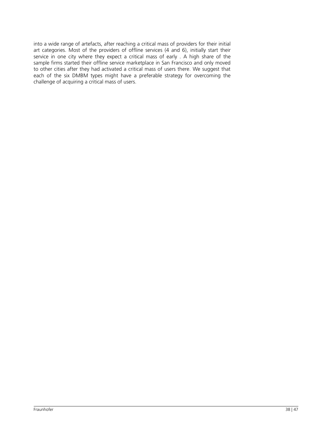into a wide range of artefacts, after reaching a critical mass of providers for their initial art categories. Most of the providers of offline services (4 and 6), initially start their service in one city where they expect a critical mass of early . A high share of the sample firms started their offline service marketplace in San Francisco and only moved to other cities after they had activated a critical mass of users there. We suggest that each of the six DMBM types might have a preferable strategy for overcoming the challenge of acquiring a critical mass of users.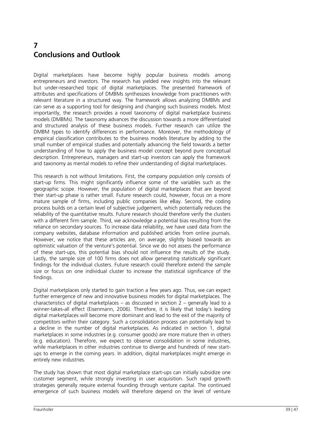### **7 Conclusions and Outlook**

Digital marketplaces have become highly popular business models among entrepreneurs and investors. The research has yielded new insights into the relevant but under-researched topic of digital marketplaces. The presented framework of attributes and specifications of DMBMs synthesizes knowledge from practitioners with relevant literature in a structured way. The framework allows analyzing DMBMs and can serve as a supporting tool for designing and changing such business models. Most importantly, the research provides a novel taxonomy of digital marketplace business models (DMBMs). The taxonomy advances the discussion towards a more differentiated and structured analysis of these business models. Further research can utilize the DMBM types to identify differences in performance. Moreover, the methodology of empirical classification contributes to the business models literature by adding to the small number of empirical studies and potentially advancing the field towards a better understanding of how to apply the business model concept beyond pure conceptual description. Entrepreneurs, managers and start-up investors can apply the framework and taxonomy as mental models to refine their understanding of digital marketplaces.

This research is not without limitations. First, the company population only consists of start-up firms. This might significantly influence some of the variables such as the geographic scope. However, the population of digital marketplaces that are beyond their start-up phase is rather small. Future research could, however, focus on a more mature sample of firms, including public companies like eBay. Second, the coding process builds on a certain level of subjective judgement, which potentially reduces the reliability of the quantitative results. Future research should therefore verify the clusters with a different firm sample. Third, we acknowledge a potential bias resulting from the reliance on secondary sources. To increase data reliability, we have used data from the company websites, database information and published articles from online journals. However, we notice that these articles are, on average, slightly biased towards an optimistic valuation of the venture's potential. Since we do not assess the performance of these start-ups, this potential bias should not influence the results of the study. Lastly, the sample size of 100 firms does not allow generating statistically significant findings for the individual clusters. Future research could therefore extend the sample size or focus on one individual cluster to increase the statistical significance of the findings.

Digital marketplaces only started to gain traction a few years ago. Thus, we can expect further emergence of new and innovative business models for digital marketplaces. The characteristics of digital marketplaces – as discussed in section 2 – generally lead to a winner-takes-all effect (Eisenmann, 2006). Therefore, it is likely that today's leading digital marketplaces will become more dominant and lead to the exit of the majority of competitors within their category. Such a consolidation process can potentially lead to a decline in the number of digital marketplaces. As indicated in section 1, digital marketplaces in some industries (e.g. consumer goods) are more mature then in others (e.g. education). Therefore, we expect to observe consolidation in some industries, while marketplaces in other industries continue to diverge and hundreds of new startups to emerge in the coming years. In addition, digital marketplaces might emerge in entirely new industries.

The study has shown that most digital marketplace start-ups can initially subsidize one customer segment, while strongly investing in user acquisition. Such rapid growth strategies generally require external founding through venture capital. The continued emergence of such business models will therefore depend on the level of venture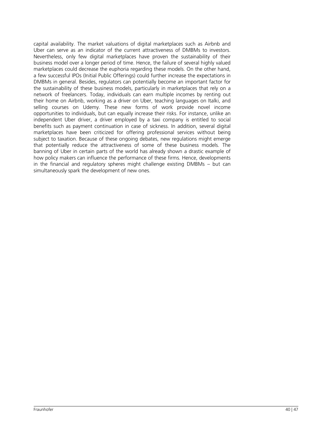capital availability. The market valuations of digital marketplaces such as Airbnb and Uber can serve as an indicator of the current attractiveness of DMBMs to investors. Nevertheless, only few digital marketplaces have proven the sustainability of their business model over a longer period of time. Hence, the failure of several highly valued marketplaces could decrease the euphoria regarding these models. On the other hand, a few successful IPOs (Initial Public Offerings) could further increase the expectations in DMBMs in general. Besides, regulators can potentially become an important factor for the sustainability of these business models, particularly in marketplaces that rely on a network of freelancers. Today, individuals can earn multiple incomes by renting out their home on Airbnb, working as a driver on Uber, teaching languages on Italki, and selling courses on Udemy. These new forms of work provide novel income opportunities to individuals, but can equally increase their risks. For instance, unlike an independent Uber driver, a driver employed by a taxi company is entitled to social benefits such as payment continuation in case of sickness. In addition, several digital marketplaces have been criticized for offering professional services without being subject to taxation. Because of these ongoing debates, new regulations might emerge that potentially reduce the attractiveness of some of these business models. The banning of Uber in certain parts of the world has already shown a drastic example of how policy makers can influence the performance of these firms. Hence, developments in the financial and regulatory spheres might challenge existing DMBMs – but can simultaneously spark the development of new ones.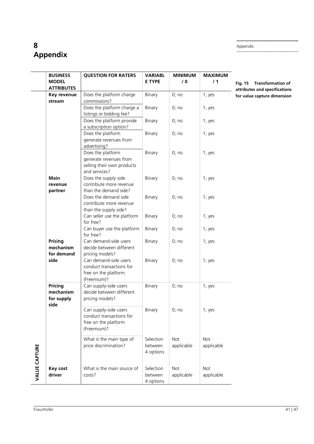### **8** Appendix **Appendix**

|                      | <b>BUSINESS</b>   | <b>QUESTION FOR RATERS</b>                        | <b>VARIABL</b> | <b>MINIMUM</b> | <b>MAXIMUM</b> |                   |
|----------------------|-------------------|---------------------------------------------------|----------------|----------------|----------------|-------------------|
|                      | <b>MODEL</b>      |                                                   | <b>E TYPE</b>  | $\sqrt{0}$     | /1             | <b>Fig. 15</b>    |
|                      | <b>ATTRIBUTES</b> |                                                   |                |                |                | <b>attributes</b> |
|                      | Key revenue       | Does the platform charge                          | Binary         | 0; no          | 1; yes         | for value         |
|                      | stream            | commissions?                                      |                |                |                |                   |
|                      |                   | Does the platform charge a                        | Binary         | 0; no          | 1; yes         |                   |
|                      |                   | listings or bidding fee?                          |                |                |                |                   |
|                      |                   | Does the platform provide                         | Binary         | 0; no          | 1; yes         |                   |
|                      |                   | a subscription option?                            |                |                |                |                   |
|                      |                   | Does the platform                                 | Binary         | 0; no          | 1; yes         |                   |
|                      |                   | generate revenues from                            |                |                |                |                   |
|                      |                   | advertising?                                      |                |                |                |                   |
|                      |                   | Does the platform                                 | Binary         | 0; no          | 1; yes         |                   |
|                      |                   | generate revenues from                            |                |                |                |                   |
|                      |                   | selling their own products                        |                |                |                |                   |
|                      |                   | and services?                                     |                |                |                |                   |
|                      | Main              | Does the supply side                              | Binary         | 0; no          | $1;$ yes       |                   |
|                      | revenue           | contribute more revenue                           |                |                |                |                   |
|                      | partner           | than the demand side?                             |                |                |                |                   |
|                      |                   | Does the demand side                              | Binary         | 0; no          | 1; yes         |                   |
|                      |                   | contribute more revenue<br>than the supply side?  |                |                |                |                   |
|                      |                   | Can seller use the platform                       | Binary         | 0; no          | 1; yes         |                   |
|                      |                   | for free?                                         |                |                |                |                   |
|                      |                   | Can buyer use the platform                        | Binary         | 0; no          | 1; yes         |                   |
|                      |                   | for free?                                         |                |                |                |                   |
|                      | Pricing           | Can demand-side users                             | Binary         | 0; no          | 1; yes         |                   |
|                      | mechanism         | decide between different                          |                |                |                |                   |
|                      | for demand        | pricing models?                                   |                |                |                |                   |
|                      | side              | Can demand-side users                             | Binary         | 0; no          | 1; yes         |                   |
|                      |                   | conduct transactions for                          |                |                |                |                   |
|                      |                   | free on the platform                              |                |                |                |                   |
|                      |                   | (Freemium)?                                       |                |                |                |                   |
|                      | Pricing           | Can supply-side users                             | Binary         | 0; no          | $1;$ yes       |                   |
|                      | mechanism         | decide between different                          |                |                |                |                   |
|                      | for supply        | pricing models?                                   |                |                |                |                   |
|                      | side              |                                                   |                |                |                |                   |
|                      |                   | Can supply-side users<br>conduct transactions for | Binary         | 0; no          | 1; yes         |                   |
|                      |                   | free on the platform                              |                |                |                |                   |
|                      |                   | (Freemium)?                                       |                |                |                |                   |
|                      |                   |                                                   |                |                |                |                   |
|                      |                   | What is the main type of                          | Selection      | Not            | Not            |                   |
|                      |                   | price discrimination?                             | between        | applicable     | applicable     |                   |
|                      |                   |                                                   | 4 options      |                |                |                   |
|                      |                   |                                                   |                |                |                |                   |
| <b>VALUE CAPTURE</b> | <b>Key cost</b>   | What is the main source of                        | Selection      | Not            | Not            |                   |
|                      | driver            | costs?                                            | between        | applicable     | applicable     |                   |
|                      |                   |                                                   | 4 options      |                |                |                   |
|                      |                   |                                                   |                |                |                |                   |

**Fig. 15 Transformation of and specifications for value capture dimension**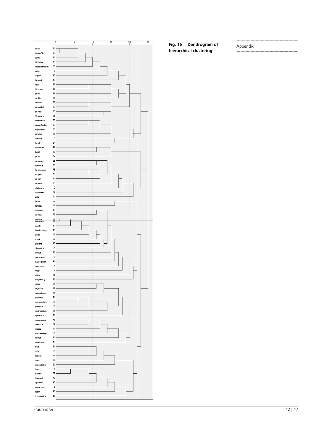

**Fig. 16 Dendrogram of** Appendix **hierarchical clustering**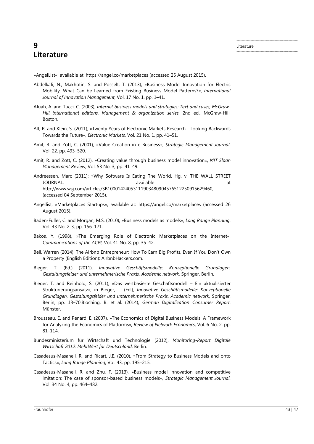### **9** Literature **Literature**

»AngelList«, available at: https://angel.co/marketplaces (accessed 25 August 2015).

- Abdelkafi, N., Makhotin, S. and Posselt, T. (2013), »Business Model Innovation for Electric Mobility. What Can be Learned from Existing Business Model Patterns?«, *International Journal of Innovation Management*, Vol. 17 No. 1, pp. 1–41.
- Afuah, A. and Tucci, C. (2003), *Internet business models and strategies: Text and cases, McGraw-Hill international editions. Management & organization series,* 2nd ed., McGraw-Hill, Boston.
- Alt, R. and Klein, S. (2011), »Twenty Years of Electronic Markets Research Looking Backwards Towards the Future«, *Electronic Markets*, Vol. 21 No. 1, pp. 41–51.
- Amit, R. and Zott, C. (2001), »Value Creation in e-Business«, *Strategic Management Journal*, Vol. 22, pp. 493–520.
- Amit, R. and Zott, C. (2012), »Creating value through business model innovation«, *MIT Sloan Management Review*, Vol. 53 No. 3, pp. 41–49.
- Andreessen, Marc (2011): »Why Software Is Eating The World. Hg. v. THE WALL STREET JOURNAL. available at http://www.wsj.com/articles/SB10001424053111903480904576512250915629460, (accessed 04 September 2015).
- Angellist, »Marketplaces Startups«, available at: https://angel.co/marketplaces (accessed 26 August 2015).
- Baden-Fuller, C. and Morgan, M.S. (2010), »Business models as models«, *Long Range Planning*, Vol. 43 No. 2-3, pp. 156–171.
- Bakos, Y. (1998), »The Emerging Role of Electronic Marketplaces on the Internet«, *Communications of the ACM*, Vol. 41 No. 8, pp. 35–42.
- Bell, Warren (2014): The Airbnb Entrepreneur: How To Earn Big Profits, Even If You Don't Own a Property (English Edition): AirbnbHackers.com.
- Bieger, T. (Ed.) (2011), *Innovative Geschäftsmodelle: Konzeptionelle Grundlagen, Gestaltungsfelder und unternehmerische Praxis, Academic network*, Springer, Berlin.
- Bieger, T. and Reinhold, S. (2011), »Das wertbasierte Geschäftsmodell Ein aktualisierter Strukturierungsansatz«, in Bieger, T. (Ed.), *Innovative Geschäftsmodelle: Konzeptionelle Grundlagen, Gestaltungsfelder und unternehmerische Praxis*, *Academic network*, Springer, Berlin, pp. 13–70.Bloching, B. et al. (2014), *German Digitalization Consumer Report*, Münster.
- Brousseau, E. and Penard, E. (2007), »The Economics of Digital Business Models: A Framework for Analyzing the Economics of Platforms«, *Review of Network Economics*, Vol. 6 No. 2, pp. 81–114.
- Bundesministerium für Wirtschaft und Technologie (2012), *Monitoring-Report Digitale Wirtschaft 2012: MehrWert für Deutschland*, Berlin.
- Casadesus-Masanell, R. and Ricart, J.E. (2010), »From Strategy to Business Models and onto Tactics«, *Long Range Planning*, Vol. 43, pp. 195–215.
- Casadesus-Masanell, R. and Zhu, F. (2013), »Business model innovation and competitive imitation: The case of sponsor-based business models«, *Strategic Management Journal*, Vol. 34 No. 4, pp. 464–482.

Fraunhofer 43 | 47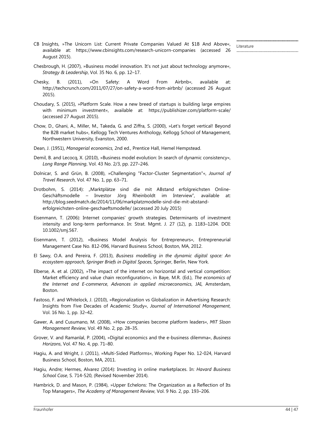- CB Insights, »The Unicorn List: Current Private Companies Valued At \$1B And Above«, literature available at: https://www.cbinsights.com/research-unicorn-companies (accessed 26 August 2015).
- Chesbrough, H. (2007), »Business model innovation. It's not just about technology anymore«, *Strategy & Leadership*, Vol. 35 No. 6, pp. 12–17.
- Chesky, B. (2011), »On Safety: A Word From Airbnb«, available at: http://techcrunch.com/2011/07/27/on-safety-a-word-from-airbnb/ (accessed 26 August 2015).
- Choudary, S. (2015), »Platform Scale. How a new breed of startups is building large empires with minimum investment«, available at: https://publishizer.com/platform-scale/ (accessed 27 August 2015).
- Chow, D., Ghani, A., Miller, M., Takeda, G. and Ziffra, S. (2000), »Let's forget vertical! Beyond the B2B market hubs«, Kellogg Tech Ventures Anthology, Kellogg School of Management, Northwestern University, Evanston, 2000.
- Dean, J. (1951), *Managerial economics,* 2nd ed., Prentice Hall, Hemel Hempstead.
- Demil, B. and Lecocq, X. (2010), »Business model evolution: In search of dynamic consistency«, *Long Range Planning*, Vol. 43 No. 2/3, pp. 227–246.
- Dolnicar, S. and Grün, B. (2008), »Challenging "Factor-Cluster Segmentation"«, *Journal of Travel Research*, Vol. 47 No. 1, pp. 63–71.
- Drotbohm, S. (2014): "Marktplätze sind die mit ABstand erfolgreichsten Online-Geschäftsmodelle – Investor Jörg Rheinboldt im Interview", available at: http://blog.seedmatch.de/2014/11/06/markplatzmodelle-sind-die-mit-abstanderfolgreichsten-online-geschaeftsmodelle/ (accessed 20 July 2015)
- Eisenmann, T. (2006): Internet companies' growth strategies. Determinants of investment intensity and long-term performance. In: Strat. Mgmt. J. 27 (12), p. 1183–1204. DOI: 10.1002/smj.567.
- Eisenmann, T. (2012), »Business Model Analysis for Entrepreneurs«, Entrepreneurial Management Case No. 812-096, Harvard Business School, Boston, MA, 2012.
- El Sawy, O.A. and Pereira, F. (2013), *Business modelling in the dynamic digital space: An ecosystem approach, Springer Briefs in Digital Spaces*, Springer, Berlin, New York.
- Elberse, A. et al. (2002), »The impact of the internet on horizontal and vertical competition: Market efficiency and value chain reconfiguration«, in Baye, M.R. (Ed.), *The economics of the Internet and E-commerce*, *Advances in applied microeconomics*, JAI, Amsterdam, Boston.
- Fastoso, F. and Whitelock, J. (2010), »Regionalization vs Globalization in Advertising Research: Insights from Five Decades of Academic Study«, *Journal of International Management*, Vol. 16 No. 1, pp. 32–42.
- Gawer, A. and Cusumano, M. (2008), »How companies become platform leaders«, *MIT Sloan Management Review*, Vol. 49 No. 2, pp. 28–35.
- Grover, V. and Ramanlal, P. (2004), »Digital economics and the e-business dilemma«, *Business Horizons*, Vol. 47 No. 4, pp. 71–80.
- Hagiu, A. and Wright, J. (2011), »Multi-Sided Platforms«, Working Paper No. 12-024, Harvard Business School, Boston, MA, 2011.
- Hagiu, Andre; Hermes, Alvarez (2014): Investing in online marketplaces. In: *Havard Business School Case*, S. 714-520, (Revised November 2014).
- Hambrick, D. and Mason, P. (1984), »Upper Echelons: The Organization as a Reflection of Its Top Managers«, *The Academy of Management Review*, Vol. 9 No. 2, pp. 193–206.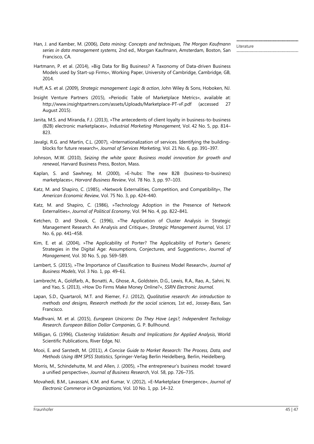- Han, J. and Kamber, M. (2006), *Data mining: Concepts and techniques, The Morgan Kaufmann* literature *series in data management systems,* 2nd ed., Morgan Kaufmann, Amsterdam, Boston, San Francisco, CA.
- Hartmann, P. et al. (2014), »Big Data for Big Business? A Taxonomy of Data-driven Business Models used by Start-up Firms«, Working Paper, University of Cambridge, Cambridge, GB, 2014.
- Huff, A.S. et al. (2009), *Strategic management: Logic & action*, John Wiley & Sons, Hoboken, NJ.
- Insight Venture Partners (2015), »Periodic Table of Marketplace Metrics«, available at: http://www.insightpartners.com/assets/Uploads/Marketplace-PT-vF.pdf (accessed 27 August 2015).
- Janita, M.S. and Miranda, F.J. (2013), »The antecedents of client loyalty in business-to-business (B2B) electronic marketplaces«, *Industrial Marketing Management*, Vol. 42 No. 5, pp. 814– 823.
- Javalgi, R.G. and Martin, C.L. (2007), »Internationalization of services. Identifying the buildingblocks for future research«, *Journal of Services Marketing*, Vol. 21 No. 6, pp. 391–397.
- Johnson, M.W. (2010), *Seizing the white space: Business model innovation for growth and renewal*, Harvard Business Press, Boston, Mass.
- Kaplan, S. and Sawhney, M. (2000), »E-hubs: The new B2B (business-to-business) marketplaces«, *Harvard Business Review*, Vol. 78 No. 3, pp. 97–103.
- Katz, M. and Shapiro, C. (1985), »Network Externalities, Competition, and Compatibility«, *The American Economic Review*, Vol. 75 No. 3, pp. 424–440.
- Katz, M. and Shapiro, C. (1986), »Technology Adoption in the Presence of Network Externalities«, *Journal of Political Economy*, Vol. 94 No. 4, pp. 822–841.
- Ketchen, D. and Shook, C. (1996), »The Application of Cluster Analysis in Strategic Management Research. An Analysis and Critique«, *Strategic Management Journal*, Vol. 17 No. 6, pp. 441–458.
- Kim, E. et al. (2004), »The Applicability of Porter? The Applicability of Porter's Generic Strategies in the Digital Age: Assumptions, Conjectures, and Suggestions«, *Journal of Management*, Vol. 30 No. 5, pp. 569–589.
- Lambert, S. (2015), »The Importance of Classification to Business Model Research«, *Journal of Business Models*, Vol. 3 No. 1, pp. 49–61.
- Lambrecht, A., Goldfarb, A., Bonatti, A., Ghose, A., Goldstein, D.G., Lewis, R.A., Rao, A., Sahni, N. and Yao, S. (2013), »How Do Firms Make Money Online?«, *SSRN Electronic Journal*.
- Lapan, S.D., Quartaroli, M.T. and Riemer, F.J. (2012), *Qualitative research: An introduction to methods and designs, Research methods for the social sciences,* 1st ed., Jossey-Bass, San Francisco.
- Madhvani, M. et al. (2015), *European Unicorns: Do They Have Legs?, Independent Techology Research. European Billion Dollar Companies*, G. P. Bullhound.
- Milligan, G. (1996), *Clustering Validation: Results and Implications for Applied Analysis*, World Scientific Publications, River Edge, NJ.
- Mooi, E. and Sarstedt, M. (2011), *A Concise Guide to Market Research: The Process, Data, and Methods Using IBM SPSS Statistics*, Springer-Verlag Berlin Heidelberg, Berlin, Heidelberg.
- Morris, M., Schindehutte, M. and Allen, J. (2005), »The entrepreneur's business model: toward a unified perspective«, *Journal of Business Research*, Vol. 58, pp. 726–735.
- Movahedi, B.M., Lavassani, K.M. and Kumar, V. (2012), »E-Marketplace Emergence«, *Journal of Electronic Commerce in Organizations*, Vol. 10 No. 1, pp. 14–32.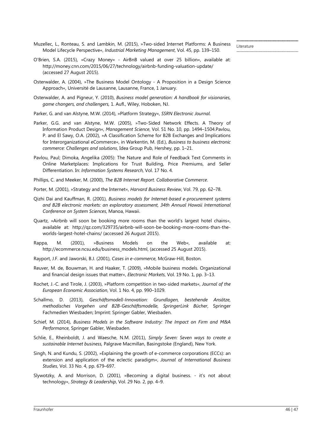- Muzellec, L., Ronteau, S. and Lambkin, M. (2015), »Two-sided Internet Platforms: A Business <sub>-literature</sub> Model Lifecycle Perspective«, *Industrial Marketing Management*, Vol. 45, pp. 139–150.
- O'Brien, S.A. (2015), »Crazy Money« AirBnB valued at over 25 billion«, available at: http://money.cnn.com/2015/06/27/technology/airbnb-funding-valuation-update/ (accessed 27 August 2015).
- Osterwalder, A. (2004), »The Business Model Ontology A Proposition in a Design Science Approach«, Université de Lausanne, Lausanne, France, 1 January.
- Osterwalder, A. and Pigneur, Y. (2010), *Business model generation: A handbook for visionaries, game changers, and challengers,* 1. Aufl., Wiley, Hoboken, NJ.
- Parker, G. and van Alstyne, M.W. (2014), »Platform Strategy«, *SSRN Electronic Journal*.
- Parker, G.G. and van Alstyne, M.W. (2005), »Two-Sided Network Effects. A Theory of Information Product Design«, *Management Science*, Vol. 51 No. 10, pp. 1494–1504.Pavlou, P. and El Sawy, O.A. (2002), »A Classification Scheme for B2B Exchanges and Implications for Interorganizational eCommerce«, in Warkentin, M. (Ed.), *Business to business electronic commerce: Challenges and solutions*, Idea Group Pub, Hershey, pp. 1–21.
- Pavlou, Paul; Dimoka, Angelika (2005): The Nature and Role of Feedback Text Comments in Online Marketplaces: Implications for Trust Building, Price Premiums, and Seller Differentiation. In: *Information Systems Research,* Vol. 17 No. 4.
- Phillips, C. and Meeker, M. (2000), *The B2B Internet Report. Collaborative Commerce*.
- Porter, M. (2001), »Strategy and the Internet«, *Harvard Business Review*, Vol. 79, pp. 62–78.
- Qizhi Dai and Kauffman, R. (2001), *Business models for Internet-based e-procurement systems and B2B electronic markets: an exploratory assessment, 34th Annual Hawaii International Conference on System Sciences*, Manoa, Hawaii.
- Quartz, »Airbnb will soon be booking more rooms than the world's largest hotel chains«, available at: http://qz.com/329735/airbnb-will-soon-be-booking-more-rooms-than-theworlds-largest-hotel-chains/ (accessed 26 August 2015).
- Rappa, M. (2001), »Business Models on the Web«, available at: http://ecommerce.ncsu.edu/business\_models.html, (accessed 25 August 2015).
- Rayport, J.F. and Jaworski, B.J. (2001), *Cases in e-commerce*, McGraw-Hill, Boston.
- Reuver, M. de, Bouwman, H. and Haaker, T. (2009), »Mobile business models. Organizational and financial design issues that matter«, *Electronic Markets*, Vol. 19 No. 1, pp. 3–13.
- Rochet, J.-C. and Tirole, J. (2003), »Platform competition in two-sided markets«, *Journal of the European Economic Association*, Vol. 1 No. 4, pp. 990–1029.
- Schallmo, D. (2013), *Geschäftsmodell-Innovation: Grundlagen, bestehende Ansätze, methodisches Vorgehen und B2B-Geschäftsmodelle, SpringerLink Bücher*, Springer Fachmedien Wiesbaden; Imprint: Springer Gabler, Wiesbaden.
- Schief, M. (2014), *Business Models in the Software Industry: The Impact on Firm and M&A Performance,* Springer Gabler, Wiesbaden.
- Schlie, E., Rheinboldt, J. and Waesche, N.M. (2011), *Simply Seven: Seven ways to create a sustainable Internet business,* Palgrave Macmillan, Basingstoke (England), New York.
- Singh, N. and Kundu, S. (2002), »Explaining the growth of e-commerce corporations (ECCs): an extension and application of the eclectic paradigm«, *Journal of International Business Studies*, Vol. 33 No. 4, pp. 679–697.
- Slywotzky, A. and Morrison, D. (2001), »Becoming a digital business. it's not about technology«, *Strategy & Leadership*, Vol. 29 No. 2, pp. 4–9.

Fraunhofer 46 | 47